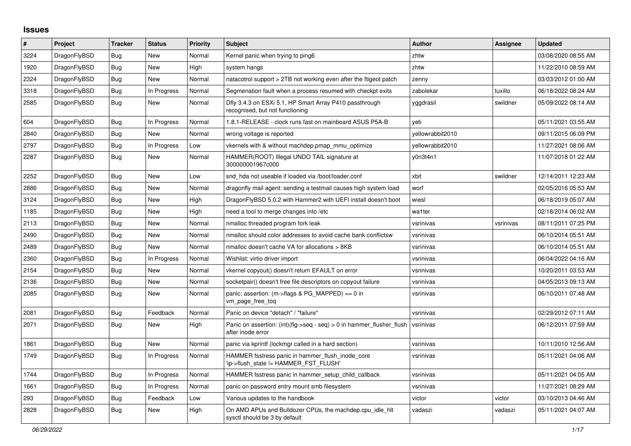## **Issues**

| #    | Project      | <b>Tracker</b> | <b>Status</b> | <b>Priority</b> | <b>Subject</b>                                                                             | <b>Author</b>    | Assignee  | <b>Updated</b>      |
|------|--------------|----------------|---------------|-----------------|--------------------------------------------------------------------------------------------|------------------|-----------|---------------------|
| 3224 | DragonFlyBSD | Bug            | <b>New</b>    | Normal          | Kernel panic when trying to ping6                                                          | zhtw             |           | 03/08/2020 08:55 AM |
| 1920 | DragonFlyBSD | <b>Bug</b>     | <b>New</b>    | High            | system hangs                                                                               | zhtw             |           | 11/22/2010 08:59 AM |
| 2324 | DragonFlyBSD | <b>Bug</b>     | <b>New</b>    | Normal          | natacotrol support > 2TB not working even after the ftigeot patch                          | zenny            |           | 03/03/2012 01:00 AM |
| 3318 | DragonFlyBSD | <b>Bug</b>     | In Progress   | Normal          | Segmenation fault when a process resumed with checkpt exits                                | zabolekar        | tuxillo   | 06/18/2022 08:24 AM |
| 2585 | DragonFlyBSD | <b>Bug</b>     | New           | Normal          | Dfly 3.4.3 on ESXi 5.1, HP Smart Array P410 passthrough<br>recognised, but not functioning | yggdrasil        | swildner  | 05/09/2022 08:14 AM |
| 604  | DragonFlyBSD | Bug            | In Progress   | Normal          | 1.8.1-RELEASE - clock runs fast on mainboard ASUS P5A-B                                    | veti             |           | 05/11/2021 03:55 AM |
| 2840 | DragonFlyBSD | Bug            | New           | Normal          | wrong voltage is reported                                                                  | vellowrabbit2010 |           | 09/11/2015 06:09 PM |
| 2797 | DragonFlyBSD | Bug            | In Progress   | Low             | vkernels with & without machdep.pmap mmu optimize                                          | yellowrabbit2010 |           | 11/27/2021 08:06 AM |
| 2287 | DragonFlyBSD | Bug            | New           | Normal          | HAMMER(ROOT) Illegal UNDO TAIL signature at<br>300000001967c000                            | y0n3t4n1         |           | 11/07/2018 01:22 AM |
| 2252 | DragonFlyBSD | <b>Bug</b>     | New           | Low             | snd hda not useable if loaded via /boot/loader.conf                                        | xbit             | swildner  | 12/14/2011 12:23 AM |
| 2886 | DragonFlyBSD | Bug            | New           | Normal          | dragonfly mail agent: sending a testmail causes high system load                           | worf             |           | 02/05/2016 05:53 AM |
| 3124 | DragonFlyBSD | Bug            | New           | High            | DragonFlyBSD 5.0.2 with Hammer2 with UEFI install doesn't boot                             | wiesl            |           | 06/18/2019 05:07 AM |
| 1185 | DragonFlyBSD | Bug            | <b>New</b>    | High            | need a tool to merge changes into /etc                                                     | wa1ter           |           | 02/18/2014 06:02 AM |
| 2113 | DragonFlyBSD | Bug            | New           | Normal          | nmalloc threaded program fork leak                                                         | vsrinivas        | vsrinivas | 08/11/2011 07:25 PM |
| 2490 | DragonFlyBSD | Bug            | New           | Normal          | nmalloc should color addresses to avoid cache bank conflictsw                              | vsrinivas        |           | 06/10/2014 05:51 AM |
| 2489 | DragonFlyBSD | Bug            | New           | Normal          | nmalloc doesn't cache VA for allocations > 8KB                                             | vsrinivas        |           | 06/10/2014 05:51 AM |
| 2360 | DragonFlyBSD | Bug            | In Progress   | Normal          | Wishlist: virtio driver import                                                             | vsrinivas        |           | 06/04/2022 04:16 AM |
| 2154 | DragonFlyBSD | Bug            | <b>New</b>    | Normal          | vkernel copyout() doesn't return EFAULT on error                                           | vsrinivas        |           | 10/20/2011 03:53 AM |
| 2136 | DragonFlyBSD | <b>Bug</b>     | <b>New</b>    | Normal          | socketpair() doesn't free file descriptors on copyout failure                              | vsrinivas        |           | 04/05/2013 09:13 AM |
| 2085 | DragonFlyBSD | <b>Bug</b>     | New           | Normal          | panic: assertion: (m->flags & PG_MAPPED) == 0 in<br>vm_page_free_toq                       | vsrinivas        |           | 06/10/2011 07:48 AM |
| 2081 | DragonFlyBSD | <b>Bug</b>     | Feedback      | Normal          | Panic on device "detach" / "failure"                                                       | vsrinivas        |           | 02/29/2012 07:11 AM |
| 2071 | DragonFlyBSD | Bug            | New           | High            | Panic on assertion: (int)(flg->seq - seq) > 0 in hammer flusher flush<br>after inode error | vsrinivas        |           | 06/12/2011 07:59 AM |
| 1861 | DragonFlyBSD | Bug            | New           | Normal          | panic via kprintf (lockmgr called in a hard section)                                       | vsrinivas        |           | 10/11/2010 12:56 AM |
| 1749 | DragonFlyBSD | Bug            | In Progress   | Normal          | HAMMER fsstress panic in hammer flush inode core<br>'ip->flush state != HAMMER FST FLUSH'  | vsrinivas        |           | 05/11/2021 04:06 AM |
| 1744 | DragonFlyBSD | <b>Bug</b>     | In Progress   | Normal          | HAMMER fsstress panic in hammer_setup_child_callback                                       | vsrinivas        |           | 05/11/2021 04:05 AM |
| 1661 | DragonFlyBSD | <b>Bug</b>     | In Progress   | Normal          | panic on password entry mount smb filesystem                                               | vsrinivas        |           | 11/27/2021 08:29 AM |
| 293  | DragonFlyBSD | Bug            | Feedback      | Low             | Various updates to the handbook                                                            | victor           | victor    | 03/10/2013 04:46 AM |
| 2828 | DragonFlyBSD | Bug            | New           | High            | On AMD APUs and Bulldozer CPUs, the machdep.cpu_idle_hlt<br>sysctl should be 3 by default  | vadaszi          | vadaszi   | 05/11/2021 04:07 AM |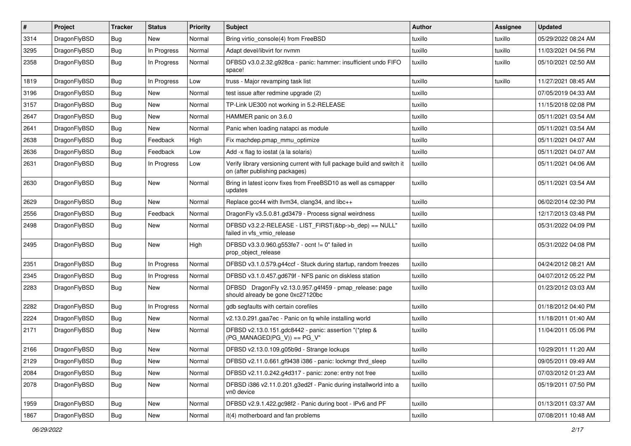| $\vert$ # | Project      | <b>Tracker</b> | <b>Status</b> | <b>Priority</b> | Subject                                                                                                   | Author  | <b>Assignee</b> | <b>Updated</b>      |
|-----------|--------------|----------------|---------------|-----------------|-----------------------------------------------------------------------------------------------------------|---------|-----------------|---------------------|
| 3314      | DragonFlyBSD | <b>Bug</b>     | New           | Normal          | Bring virtio_console(4) from FreeBSD                                                                      | tuxillo | tuxillo         | 05/29/2022 08:24 AM |
| 3295      | DragonFlyBSD | Bug            | In Progress   | Normal          | Adapt devel/libvirt for nvmm                                                                              | tuxillo | tuxillo         | 11/03/2021 04:56 PM |
| 2358      | DragonFlyBSD | <b>Bug</b>     | In Progress   | Normal          | DFBSD v3.0.2.32.g928ca - panic: hammer: insufficient undo FIFO<br>space!                                  | tuxillo | tuxillo         | 05/10/2021 02:50 AM |
| 1819      | DragonFlyBSD | Bug            | In Progress   | Low             | truss - Major revamping task list                                                                         | tuxillo | tuxillo         | 11/27/2021 08:45 AM |
| 3196      | DragonFlyBSD | <b>Bug</b>     | New           | Normal          | test issue after redmine upgrade (2)                                                                      | tuxillo |                 | 07/05/2019 04:33 AM |
| 3157      | DragonFlyBSD | Bug            | New           | Normal          | TP-Link UE300 not working in 5.2-RELEASE                                                                  | tuxillo |                 | 11/15/2018 02:08 PM |
| 2647      | DragonFlyBSD | <b>Bug</b>     | New           | Normal          | HAMMER panic on 3.6.0                                                                                     | tuxillo |                 | 05/11/2021 03:54 AM |
| 2641      | DragonFlyBSD | <b>Bug</b>     | New           | Normal          | Panic when loading natapci as module                                                                      | tuxillo |                 | 05/11/2021 03:54 AM |
| 2638      | DragonFlyBSD | Bug            | Feedback      | High            | Fix machdep.pmap_mmu_optimize                                                                             | tuxillo |                 | 05/11/2021 04:07 AM |
| 2636      | DragonFlyBSD | <b>Bug</b>     | Feedback      | Low             | Add -x flag to iostat (a la solaris)                                                                      | tuxillo |                 | 05/11/2021 04:07 AM |
| 2631      | DragonFlyBSD | <b>Bug</b>     | In Progress   | Low             | Verify library versioning current with full package build and switch it<br>on (after publishing packages) | tuxillo |                 | 05/11/2021 04:06 AM |
| 2630      | DragonFlyBSD | Bug            | <b>New</b>    | Normal          | Bring in latest iconv fixes from FreeBSD10 as well as csmapper<br>updates                                 | tuxillo |                 | 05/11/2021 03:54 AM |
| 2629      | DragonFlyBSD | Bug            | <b>New</b>    | Normal          | Replace gcc44 with llvm34, clang34, and libc++                                                            | tuxillo |                 | 06/02/2014 02:30 PM |
| 2556      | DragonFlyBSD | <b>Bug</b>     | Feedback      | Normal          | DragonFly v3.5.0.81.gd3479 - Process signal weirdness                                                     | tuxillo |                 | 12/17/2013 03:48 PM |
| 2498      | DragonFlyBSD | <b>Bug</b>     | New           | Normal          | DFBSD v3.2.2-RELEASE - LIST_FIRST(&bp->b_dep) == NULL"<br>failed in vfs_vmio_release                      | tuxillo |                 | 05/31/2022 04:09 PM |
| 2495      | DragonFlyBSD | <b>Bug</b>     | New           | High            | DFBSD v3.3.0.960.g553fe7 - ocnt != 0" failed in<br>prop_object_release                                    | tuxillo |                 | 05/31/2022 04:08 PM |
| 2351      | DragonFlyBSD | <b>Bug</b>     | In Progress   | Normal          | DFBSD v3.1.0.579.g44ccf - Stuck during startup, random freezes                                            | tuxillo |                 | 04/24/2012 08:21 AM |
| 2345      | DragonFlyBSD | <b>Bug</b>     | In Progress   | Normal          | DFBSD v3.1.0.457.gd679f - NFS panic on diskless station                                                   | tuxillo |                 | 04/07/2012 05:22 PM |
| 2283      | DragonFlyBSD | <b>Bug</b>     | New           | Normal          | DFBSD DragonFly v2.13.0.957.g4f459 - pmap_release: page<br>should already be gone 0xc27120bc              | tuxillo |                 | 01/23/2012 03:03 AM |
| 2282      | DragonFlyBSD | <b>Bug</b>     | In Progress   | Normal          | gdb segfaults with certain corefiles                                                                      | tuxillo |                 | 01/18/2012 04:40 PM |
| 2224      | DragonFlyBSD | <b>Bug</b>     | New           | Normal          | v2.13.0.291.gaa7ec - Panic on fq while installing world                                                   | tuxillo |                 | 11/18/2011 01:40 AM |
| 2171      | DragonFlyBSD | <b>Bug</b>     | New           | Normal          | DFBSD v2.13.0.151.gdc8442 - panic: assertion "(*ptep &<br>$(PG$ MANAGED PG V)) == PG V"                   | tuxillo |                 | 11/04/2011 05:06 PM |
| 2166      | DragonFlyBSD | <b>Bug</b>     | <b>New</b>    | Normal          | DFBSD v2.13.0.109.g05b9d - Strange lockups                                                                | tuxillo |                 | 10/29/2011 11:20 AM |
| 2129      | DragonFlyBSD | <b>Bug</b>     | New           | Normal          | DFBSD v2.11.0.661.gf9438 i386 - panic: lockmgr thrd_sleep                                                 | tuxillo |                 | 09/05/2011 09:49 AM |
| 2084      | DragonFlyBSD | <b>Bug</b>     | <b>New</b>    | Normal          | DFBSD v2.11.0.242.g4d317 - panic: zone: entry not free                                                    | tuxillo |                 | 07/03/2012 01:23 AM |
| 2078      | DragonFlyBSD | Bug            | New           | Normal          | DFBSD i386 v2.11.0.201.g3ed2f - Panic during installworld into a<br>vn0 device                            | tuxillo |                 | 05/19/2011 07:50 PM |
| 1959      | DragonFlyBSD | Bug            | New           | Normal          | DFBSD v2.9.1.422.gc98f2 - Panic during boot - IPv6 and PF                                                 | tuxillo |                 | 01/13/2011 03:37 AM |
| 1867      | DragonFlyBSD | <b>Bug</b>     | New           | Normal          | it(4) motherboard and fan problems                                                                        | tuxillo |                 | 07/08/2011 10:48 AM |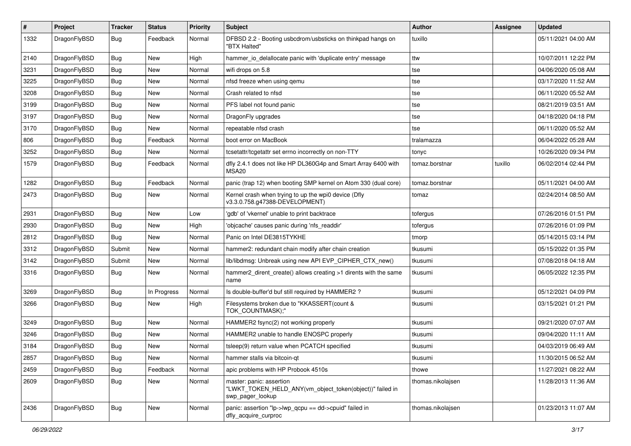| #    | Project      | <b>Tracker</b> | <b>Status</b> | <b>Priority</b> | <b>Subject</b>                                                                                           | <b>Author</b>     | Assignee | <b>Updated</b>      |
|------|--------------|----------------|---------------|-----------------|----------------------------------------------------------------------------------------------------------|-------------------|----------|---------------------|
| 1332 | DragonFlyBSD | Bug            | Feedback      | Normal          | DFBSD 2.2 - Booting usbcdrom/usbsticks on thinkpad hangs on<br>"BTX Halted"                              | tuxillo           |          | 05/11/2021 04:00 AM |
| 2140 | DragonFlyBSD | <b>Bug</b>     | <b>New</b>    | High            | hammer_io_delallocate panic with 'duplicate entry' message                                               | ttw               |          | 10/07/2011 12:22 PM |
| 3231 | DragonFlyBSD | <b>Bug</b>     | <b>New</b>    | Normal          | wifi drops on 5.8                                                                                        | tse               |          | 04/06/2020 05:08 AM |
| 3225 | DragonFlyBSD | <b>Bug</b>     | <b>New</b>    | Normal          | nfsd freeze when using qemu                                                                              | tse               |          | 03/17/2020 11:52 AM |
| 3208 | DragonFlyBSD | <b>Bug</b>     | New           | Normal          | Crash related to nfsd                                                                                    | tse               |          | 06/11/2020 05:52 AM |
| 3199 | DragonFlyBSD | <b>Bug</b>     | <b>New</b>    | Normal          | PFS label not found panic                                                                                | tse               |          | 08/21/2019 03:51 AM |
| 3197 | DragonFlyBSD | Bug            | New           | Normal          | DragonFly upgrades                                                                                       | tse               |          | 04/18/2020 04:18 PM |
| 3170 | DragonFlyBSD | Bug            | New           | Normal          | repeatable nfsd crash                                                                                    | tse               |          | 06/11/2020 05:52 AM |
| 806  | DragonFlyBSD | <b>Bug</b>     | Feedback      | Normal          | boot error on MacBook                                                                                    | tralamazza        |          | 06/04/2022 05:28 AM |
| 3252 | DragonFlyBSD | <b>Bug</b>     | New           | Normal          | tcsetattr/tcgetattr set errno incorrectly on non-TTY                                                     | tonyc             |          | 10/26/2020 09:34 PM |
| 1579 | DragonFlyBSD | Bug            | Feedback      | Normal          | dfly 2.4.1 does not like HP DL360G4p and Smart Array 6400 with<br>MSA20                                  | tomaz.borstnar    | tuxillo  | 06/02/2014 02:44 PM |
| 1282 | DragonFlyBSD | <b>Bug</b>     | Feedback      | Normal          | panic (trap 12) when booting SMP kernel on Atom 330 (dual core)                                          | tomaz.borstnar    |          | 05/11/2021 04:00 AM |
| 2473 | DragonFlyBSD | Bug            | New           | Normal          | Kernel crash when trying to up the wpi0 device (Dfly<br>v3.3.0.758.g47388-DEVELOPMENT)                   | tomaz             |          | 02/24/2014 08:50 AM |
| 2931 | DragonFlyBSD | <b>Bug</b>     | <b>New</b>    | Low             | 'gdb' of 'vkernel' unable to print backtrace                                                             | tofergus          |          | 07/26/2016 01:51 PM |
| 2930 | DragonFlyBSD | Bug            | <b>New</b>    | High            | 'objcache' causes panic during 'nfs_readdir'                                                             | tofergus          |          | 07/26/2016 01:09 PM |
| 2812 | DragonFlyBSD | Bug            | <b>New</b>    | Normal          | Panic on Intel DE3815TYKHE                                                                               | tmorp             |          | 05/14/2015 03:14 PM |
| 3312 | DragonFlyBSD | Submit         | <b>New</b>    | Normal          | hammer2: redundant chain modify after chain creation                                                     | tkusumi           |          | 05/15/2022 01:35 PM |
| 3142 | DragonFlyBSD | Submit         | <b>New</b>    | Normal          | lib/libdmsg: Unbreak using new API EVP_CIPHER_CTX_new()                                                  | tkusumi           |          | 07/08/2018 04:18 AM |
| 3316 | DragonFlyBSD | Bug            | New           | Normal          | hammer2 dirent create() allows creating >1 dirents with the same<br>name                                 | tkusumi           |          | 06/05/2022 12:35 PM |
| 3269 | DragonFlyBSD | <b>Bug</b>     | In Progress   | Normal          | Is double-buffer'd buf still required by HAMMER2 ?                                                       | tkusumi           |          | 05/12/2021 04:09 PM |
| 3266 | DragonFlyBSD | Bug            | New           | High            | Filesystems broken due to "KKASSERT(count &<br>TOK_COUNTMASK);"                                          | tkusumi           |          | 03/15/2021 01:21 PM |
| 3249 | DragonFlyBSD | <b>Bug</b>     | <b>New</b>    | Normal          | HAMMER2 fsync(2) not working properly                                                                    | tkusumi           |          | 09/21/2020 07:07 AM |
| 3246 | DragonFlyBSD | <b>Bug</b>     | <b>New</b>    | Normal          | HAMMER2 unable to handle ENOSPC properly                                                                 | tkusumi           |          | 09/04/2020 11:11 AM |
| 3184 | DragonFlyBSD | Bug            | <b>New</b>    | Normal          | tsleep(9) return value when PCATCH specified                                                             | tkusumi           |          | 04/03/2019 06:49 AM |
| 2857 | DragonFlyBSD | <b>Bug</b>     | New           | Normal          | hammer stalls via bitcoin-qt                                                                             | tkusumi           |          | 11/30/2015 06:52 AM |
| 2459 | DragonFlyBSD | <b>Bug</b>     | Feedback      | Normal          | apic problems with HP Probook 4510s                                                                      | thowe             |          | 11/27/2021 08:22 AM |
| 2609 | DragonFlyBSD | <b>Bug</b>     | <b>New</b>    | Normal          | master: panic: assertion<br>"LWKT TOKEN HELD ANY(vm object token(object))" failed in<br>swp_pager_lookup | thomas.nikolajsen |          | 11/28/2013 11:36 AM |
| 2436 | DragonFlyBSD | <b>Bug</b>     | New           | Normal          | panic: assertion "lp->lwp_qcpu == dd->cpuid" failed in<br>dfly_acquire_curproc                           | thomas.nikolajsen |          | 01/23/2013 11:07 AM |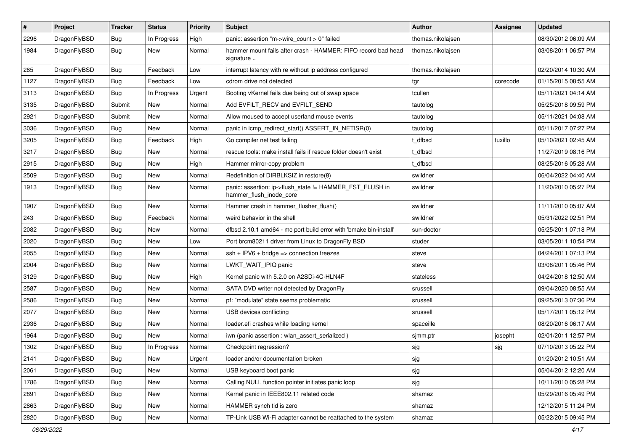| $\pmb{\#}$ | Project      | <b>Tracker</b> | <b>Status</b> | <b>Priority</b> | Subject                                                                             | <b>Author</b>     | Assignee | <b>Updated</b>      |
|------------|--------------|----------------|---------------|-----------------|-------------------------------------------------------------------------------------|-------------------|----------|---------------------|
| 2296       | DragonFlyBSD | Bug            | In Progress   | High            | panic: assertion "m->wire count > 0" failed                                         | thomas.nikolajsen |          | 08/30/2012 06:09 AM |
| 1984       | DragonFlyBSD | Bug            | <b>New</b>    | Normal          | hammer mount fails after crash - HAMMER: FIFO record bad head<br>signature          | thomas.nikolajsen |          | 03/08/2011 06:57 PM |
| 285        | DragonFlyBSD | Bug            | Feedback      | Low             | interrupt latency with re without ip address configured                             | thomas.nikolajsen |          | 02/20/2014 10:30 AM |
| 1127       | DragonFlyBSD | Bug            | Feedback      | Low             | cdrom drive not detected                                                            | tgr               | corecode | 01/15/2015 08:55 AM |
| 3113       | DragonFlyBSD | Bug            | In Progress   | Urgent          | Booting vKernel fails due being out of swap space                                   | tcullen           |          | 05/11/2021 04:14 AM |
| 3135       | DragonFlyBSD | Submit         | <b>New</b>    | Normal          | Add EVFILT_RECV and EVFILT_SEND                                                     | tautolog          |          | 05/25/2018 09:59 PM |
| 2921       | DragonFlyBSD | Submit         | <b>New</b>    | Normal          | Allow moused to accept userland mouse events                                        | tautolog          |          | 05/11/2021 04:08 AM |
| 3036       | DragonFlyBSD | Bug            | <b>New</b>    | Normal          | panic in icmp_redirect_start() ASSERT_IN_NETISR(0)                                  | tautolog          |          | 05/11/2017 07:27 PM |
| 3205       | DragonFlyBSD | Bug            | Feedback      | High            | Go compiler net test failing                                                        | t_dfbsd           | tuxillo  | 05/10/2021 02:45 AM |
| 3217       | DragonFlyBSD | Bug            | <b>New</b>    | Normal          | rescue tools: make install fails if rescue folder doesn't exist                     | t dfbsd           |          | 11/27/2019 08:16 PM |
| 2915       | DragonFlyBSD | Bug            | <b>New</b>    | High            | Hammer mirror-copy problem                                                          | t dfbsd           |          | 08/25/2016 05:28 AM |
| 2509       | DragonFlyBSD | Bug            | <b>New</b>    | Normal          | Redefinition of DIRBLKSIZ in restore(8)                                             | swildner          |          | 06/04/2022 04:40 AM |
| 1913       | DragonFlyBSD | Bug            | <b>New</b>    | Normal          | panic: assertion: ip->flush_state != HAMMER_FST_FLUSH in<br>hammer_flush_inode_core | swildner          |          | 11/20/2010 05:27 PM |
| 1907       | DragonFlyBSD | Bug            | <b>New</b>    | Normal          | Hammer crash in hammer flusher flush()                                              | swildner          |          | 11/11/2010 05:07 AM |
| 243        | DragonFlyBSD | <b>Bug</b>     | Feedback      | Normal          | weird behavior in the shell                                                         | swildner          |          | 05/31/2022 02:51 PM |
| 2082       | DragonFlyBSD | Bug            | New           | Normal          | dfbsd 2.10.1 amd64 - mc port build error with 'bmake bin-install'                   | sun-doctor        |          | 05/25/2011 07:18 PM |
| 2020       | DragonFlyBSD | Bug            | <b>New</b>    | Low             | Port brcm80211 driver from Linux to DragonFly BSD                                   | studer            |          | 03/05/2011 10:54 PM |
| 2055       | DragonFlyBSD | Bug            | <b>New</b>    | Normal          | $ssh + IPV6 + bridge \Rightarrow connection freezes$                                | steve             |          | 04/24/2011 07:13 PM |
| 2004       | DragonFlyBSD | <b>Bug</b>     | <b>New</b>    | Normal          | LWKT_WAIT_IPIQ panic                                                                | steve             |          | 03/08/2011 05:46 PM |
| 3129       | DragonFlyBSD | Bug            | <b>New</b>    | High            | Kernel panic with 5.2.0 on A2SDi-4C-HLN4F                                           | stateless         |          | 04/24/2018 12:50 AM |
| 2587       | DragonFlyBSD | Bug            | <b>New</b>    | Normal          | SATA DVD writer not detected by DragonFly                                           | srussell          |          | 09/04/2020 08:55 AM |
| 2586       | DragonFlyBSD | Bug            | <b>New</b>    | Normal          | pf: "modulate" state seems problematic                                              | srussell          |          | 09/25/2013 07:36 PM |
| 2077       | DragonFlyBSD | Bug            | New           | Normal          | USB devices conflicting                                                             | srussell          |          | 05/17/2011 05:12 PM |
| 2936       | DragonFlyBSD | Bug            | <b>New</b>    | Normal          | loader.efi crashes while loading kernel                                             | spaceille         |          | 08/20/2016 06:17 AM |
| 1964       | DragonFlyBSD | Bug            | New           | Normal          | iwn (panic assertion : wlan_assert_serialized)                                      | sjmm.ptr          | josepht  | 02/01/2011 12:57 PM |
| 1302       | DragonFlyBSD | Bug            | In Progress   | Normal          | Checkpoint regression?                                                              | sjg               | sjg      | 07/10/2013 05:22 PM |
| 2141       | DragonFlyBSD | <b>Bug</b>     | New           | Urgent          | loader and/or documentation broken                                                  | sjg               |          | 01/20/2012 10:51 AM |
| 2061       | DragonFlyBSD | <b>Bug</b>     | New           | Normal          | USB keyboard boot panic                                                             | sjg               |          | 05/04/2012 12:20 AM |
| 1786       | DragonFlyBSD | <b>Bug</b>     | New           | Normal          | Calling NULL function pointer initiates panic loop                                  | sjg               |          | 10/11/2010 05:28 PM |
| 2891       | DragonFlyBSD | <b>Bug</b>     | New           | Normal          | Kernel panic in IEEE802.11 related code                                             | shamaz            |          | 05/29/2016 05:49 PM |
| 2863       | DragonFlyBSD | <b>Bug</b>     | New           | Normal          | HAMMER synch tid is zero                                                            | shamaz            |          | 12/12/2015 11:24 PM |
| 2820       | DragonFlyBSD | <b>Bug</b>     | New           | Normal          | TP-Link USB Wi-Fi adapter cannot be reattached to the system                        | shamaz            |          | 05/22/2015 09:45 PM |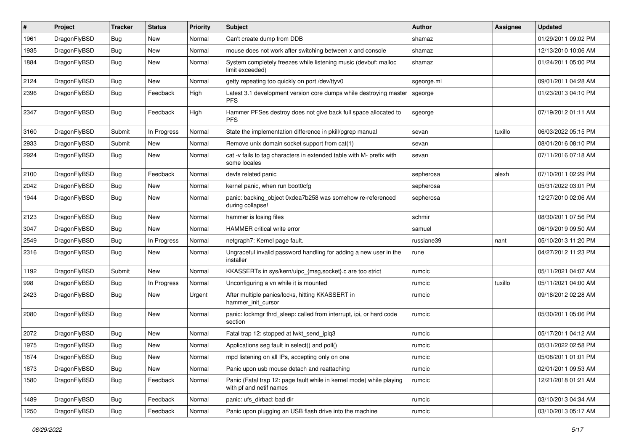| #    | Project      | <b>Tracker</b> | <b>Status</b> | <b>Priority</b> | Subject                                                                                         | Author     | <b>Assignee</b> | <b>Updated</b>      |
|------|--------------|----------------|---------------|-----------------|-------------------------------------------------------------------------------------------------|------------|-----------------|---------------------|
| 1961 | DragonFlyBSD | <b>Bug</b>     | <b>New</b>    | Normal          | Can't create dump from DDB                                                                      | shamaz     |                 | 01/29/2011 09:02 PM |
| 1935 | DragonFlyBSD | <b>Bug</b>     | <b>New</b>    | Normal          | mouse does not work after switching between x and console                                       | shamaz     |                 | 12/13/2010 10:06 AM |
| 1884 | DragonFlyBSD | <b>Bug</b>     | New           | Normal          | System completely freezes while listening music (devbuf: malloc<br>limit exceeded)              | shamaz     |                 | 01/24/2011 05:00 PM |
| 2124 | DragonFlyBSD | <b>Bug</b>     | New           | Normal          | getty repeating too quickly on port /dev/ttyv0                                                  | sgeorge.ml |                 | 09/01/2011 04:28 AM |
| 2396 | DragonFlyBSD | <b>Bug</b>     | Feedback      | High            | Latest 3.1 development version core dumps while destroying master<br><b>PFS</b>                 | sgeorge    |                 | 01/23/2013 04:10 PM |
| 2347 | DragonFlyBSD | Bug            | Feedback      | High            | Hammer PFSes destroy does not give back full space allocated to<br><b>PFS</b>                   | sgeorge    |                 | 07/19/2012 01:11 AM |
| 3160 | DragonFlyBSD | Submit         | In Progress   | Normal          | State the implementation difference in pkill/pgrep manual                                       | sevan      | tuxillo         | 06/03/2022 05:15 PM |
| 2933 | DragonFlyBSD | Submit         | New           | Normal          | Remove unix domain socket support from cat(1)                                                   | sevan      |                 | 08/01/2016 08:10 PM |
| 2924 | DragonFlyBSD | Bug            | New           | Normal          | cat -v fails to tag characters in extended table with M- prefix with<br>some locales            | sevan      |                 | 07/11/2016 07:18 AM |
| 2100 | DragonFlyBSD | <b>Bug</b>     | Feedback      | Normal          | devfs related panic                                                                             | sepherosa  | alexh           | 07/10/2011 02:29 PM |
| 2042 | DragonFlyBSD | <b>Bug</b>     | New           | Normal          | kernel panic, when run boot0cfg                                                                 | sepherosa  |                 | 05/31/2022 03:01 PM |
| 1944 | DragonFlyBSD | <b>Bug</b>     | New           | Normal          | panic: backing_object 0xdea7b258 was somehow re-referenced<br>during collapse!                  | sepherosa  |                 | 12/27/2010 02:06 AM |
| 2123 | DragonFlyBSD | <b>Bug</b>     | New           | Normal          | hammer is losing files                                                                          | schmir     |                 | 08/30/2011 07:56 PM |
| 3047 | DragonFlyBSD | <b>Bug</b>     | <b>New</b>    | Normal          | <b>HAMMER</b> critical write error                                                              | samuel     |                 | 06/19/2019 09:50 AM |
| 2549 | DragonFlyBSD | <b>Bug</b>     | In Progress   | Normal          | netgraph7: Kernel page fault.                                                                   | russiane39 | nant            | 05/10/2013 11:20 PM |
| 2316 | DragonFlyBSD | Bug            | New           | Normal          | Ungraceful invalid password handling for adding a new user in the<br>installer                  | rune       |                 | 04/27/2012 11:23 PM |
| 1192 | DragonFlyBSD | Submit         | New           | Normal          | KKASSERTs in sys/kern/uipc_{msg,socket}.c are too strict                                        | rumcic     |                 | 05/11/2021 04:07 AM |
| 998  | DragonFlyBSD | Bug            | In Progress   | Normal          | Unconfiguring a vn while it is mounted                                                          | rumcic     | tuxillo         | 05/11/2021 04:00 AM |
| 2423 | DragonFlyBSD | <b>Bug</b>     | New           | Urgent          | After multiple panics/locks, hitting KKASSERT in<br>hammer init cursor                          | rumcic     |                 | 09/18/2012 02:28 AM |
| 2080 | DragonFlyBSD | Bug            | New           | Normal          | panic: lockmgr thrd_sleep: called from interrupt, ipi, or hard code<br>section                  | rumcic     |                 | 05/30/2011 05:06 PM |
| 2072 | DragonFlyBSD | Bug            | <b>New</b>    | Normal          | Fatal trap 12: stopped at lwkt_send_ipiq3                                                       | rumcic     |                 | 05/17/2011 04:12 AM |
| 1975 | DragonFlyBSD | <b>Bug</b>     | New           | Normal          | Applications seg fault in select() and poll()                                                   | rumcic     |                 | 05/31/2022 02:58 PM |
| 1874 | DragonFlyBSD | <b>Bug</b>     | New           | Normal          | mpd listening on all IPs, accepting only on one                                                 | rumcic     |                 | 05/08/2011 01:01 PM |
| 1873 | DragonFlyBSD | Bug            | New           | Normal          | Panic upon usb mouse detach and reattaching                                                     | rumcic     |                 | 02/01/2011 09:53 AM |
| 1580 | DragonFlyBSD | <b>Bug</b>     | Feedback      | Normal          | Panic (Fatal trap 12: page fault while in kernel mode) while playing<br>with pf and netif names | rumcic     |                 | 12/21/2018 01:21 AM |
| 1489 | DragonFlyBSD | <b>Bug</b>     | Feedback      | Normal          | panic: ufs dirbad: bad dir                                                                      | rumcic     |                 | 03/10/2013 04:34 AM |
| 1250 | DragonFlyBSD | <b>Bug</b>     | Feedback      | Normal          | Panic upon plugging an USB flash drive into the machine                                         | rumcic     |                 | 03/10/2013 05:17 AM |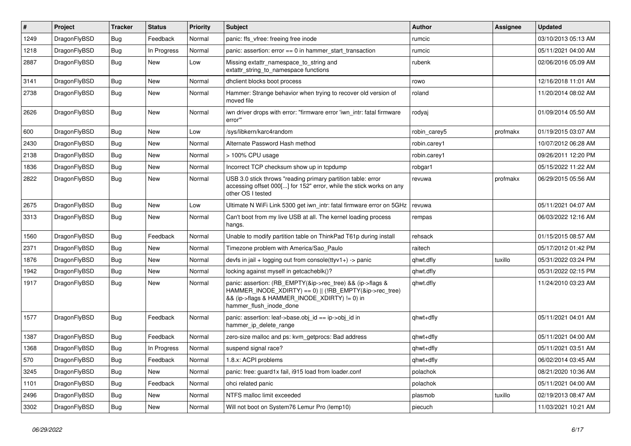| $\pmb{\#}$ | <b>Project</b> | <b>Tracker</b> | <b>Status</b> | <b>Priority</b> | <b>Subject</b>                                                                                                                                                                                    | <b>Author</b> | Assignee | Updated             |
|------------|----------------|----------------|---------------|-----------------|---------------------------------------------------------------------------------------------------------------------------------------------------------------------------------------------------|---------------|----------|---------------------|
| 1249       | DragonFlyBSD   | Bug            | Feedback      | Normal          | panic: ffs_vfree: freeing free inode                                                                                                                                                              | rumcic        |          | 03/10/2013 05:13 AM |
| 1218       | DragonFlyBSD   | Bug            | In Progress   | Normal          | panic: assertion: error == 0 in hammer_start_transaction                                                                                                                                          | rumcic        |          | 05/11/2021 04:00 AM |
| 2887       | DragonFlyBSD   | Bug            | New           | Low             | Missing extattr namespace to string and<br>extattr string to namespace functions                                                                                                                  | rubenk        |          | 02/06/2016 05:09 AM |
| 3141       | DragonFlyBSD   | Bug            | <b>New</b>    | Normal          | dhclient blocks boot process                                                                                                                                                                      | rowo          |          | 12/16/2018 11:01 AM |
| 2738       | DragonFlyBSD   | Bug            | New           | Normal          | Hammer: Strange behavior when trying to recover old version of<br>moved file                                                                                                                      | roland        |          | 11/20/2014 08:02 AM |
| 2626       | DragonFlyBSD   | Bug            | <b>New</b>    | Normal          | iwn driver drops with error: "firmware error 'iwn intr: fatal firmware<br>error"                                                                                                                  | rodyaj        |          | 01/09/2014 05:50 AM |
| 600        | DragonFlyBSD   | Bug            | <b>New</b>    | Low             | /sys/libkern/karc4random                                                                                                                                                                          | robin carey5  | profmakx | 01/19/2015 03:07 AM |
| 2430       | DragonFlyBSD   | Bug            | <b>New</b>    | Normal          | Alternate Password Hash method                                                                                                                                                                    | robin.carey1  |          | 10/07/2012 06:28 AM |
| 2138       | DragonFlyBSD   | Bug            | <b>New</b>    | Normal          | > 100% CPU usage                                                                                                                                                                                  | robin.carey1  |          | 09/26/2011 12:20 PM |
| 1836       | DragonFlyBSD   | Bug            | <b>New</b>    | Normal          | Incorrect TCP checksum show up in tcpdump                                                                                                                                                         | robgar1       |          | 05/15/2022 11:22 AM |
| 2822       | DragonFlyBSD   | <b>Bug</b>     | <b>New</b>    | Normal          | USB 3.0 stick throws "reading primary partition table: error<br>accessing offset 000[] for 152" error, while the stick works on any<br>other OS I tested                                          | revuwa        | profmakx | 06/29/2015 05:56 AM |
| 2675       | DragonFlyBSD   | Bug            | New           | Low             | Ultimate N WiFi Link 5300 get iwn intr: fatal firmware error on 5GHz                                                                                                                              | revuwa        |          | 05/11/2021 04:07 AM |
| 3313       | DragonFlyBSD   | Bug            | New           | Normal          | Can't boot from my live USB at all. The kernel loading process<br>hangs.                                                                                                                          | rempas        |          | 06/03/2022 12:16 AM |
| 1560       | DragonFlyBSD   | <b>Bug</b>     | Feedback      | Normal          | Unable to modify partition table on ThinkPad T61p during install                                                                                                                                  | rehsack       |          | 01/15/2015 08:57 AM |
| 2371       | DragonFlyBSD   | Bug            | <b>New</b>    | Normal          | Timezone problem with America/Sao Paulo                                                                                                                                                           | raitech       |          | 05/17/2012 01:42 PM |
| 1876       | DragonFlyBSD   | Bug            | <b>New</b>    | Normal          | devfs in jail + logging out from console(ttyv1+) -> panic                                                                                                                                         | qhwt.dfly     | tuxillo  | 05/31/2022 03:24 PM |
| 1942       | DragonFlyBSD   | <b>Bug</b>     | <b>New</b>    | Normal          | locking against myself in getcacheblk()?                                                                                                                                                          | qhwt.dfly     |          | 05/31/2022 02:15 PM |
| 1917       | DragonFlyBSD   | Bug            | <b>New</b>    | Normal          | panic: assertion: (RB_EMPTY(&ip->rec_tree) && (ip->flags &<br>HAMMER_INODE_XDIRTY) == 0)    (!RB_EMPTY(&ip->rec_tree)<br>&& (ip->flags & HAMMER_INODE_XDIRTY) != 0) in<br>hammer flush inode done | qhwt.dfly     |          | 11/24/2010 03:23 AM |
| 1577       | DragonFlyBSD   | Bug            | Feedback      | Normal          | panic: assertion: leaf->base.obj_id == ip->obj_id in<br>hammer ip delete range                                                                                                                    | qhwt+dfly     |          | 05/11/2021 04:01 AM |
| 1387       | DragonFlyBSD   | <b>Bug</b>     | Feedback      | Normal          | zero-size malloc and ps: kvm getprocs: Bad address                                                                                                                                                | qhwt+dfly     |          | 05/11/2021 04:00 AM |
| 1368       | DragonFlyBSD   | <b>Bug</b>     | In Progress   | Normal          | suspend signal race?                                                                                                                                                                              | qhwt+dfly     |          | 05/11/2021 03:51 AM |
| 570        | DragonFlyBSD   | <b>Bug</b>     | Feedback      | Normal          | 1.8.x: ACPI problems                                                                                                                                                                              | qhwt+dfly     |          | 06/02/2014 03:45 AM |
| 3245       | DragonFlyBSD   | Bug            | <b>New</b>    | Normal          | panic: free: guard1x fail, i915 load from loader.conf                                                                                                                                             | polachok      |          | 08/21/2020 10:36 AM |
| 1101       | DragonFlyBSD   | Bug            | Feedback      | Normal          | ohci related panic                                                                                                                                                                                | polachok      |          | 05/11/2021 04:00 AM |
| 2496       | DragonFlyBSD   | Bug            | <b>New</b>    | Normal          | NTFS malloc limit exceeded                                                                                                                                                                        | plasmob       | tuxillo  | 02/19/2013 08:47 AM |
| 3302       | DragonFlyBSD   | Bug            | <b>New</b>    | Normal          | Will not boot on System76 Lemur Pro (lemp10)                                                                                                                                                      | piecuch       |          | 11/03/2021 10:21 AM |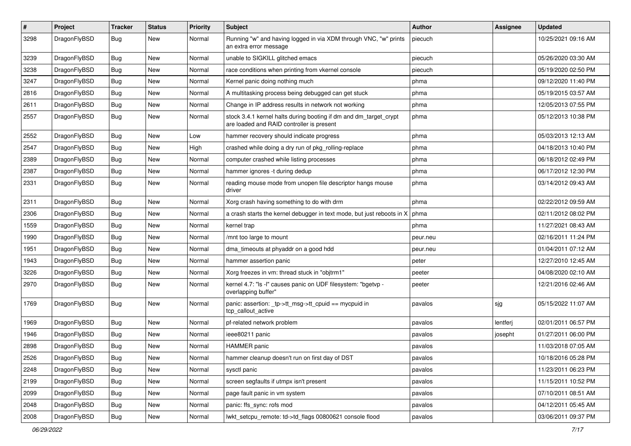| $\sharp$ | Project      | <b>Tracker</b> | <b>Status</b> | <b>Priority</b> | Subject                                                                                                        | Author   | Assignee | <b>Updated</b>      |
|----------|--------------|----------------|---------------|-----------------|----------------------------------------------------------------------------------------------------------------|----------|----------|---------------------|
| 3298     | DragonFlyBSD | <b>Bug</b>     | New           | Normal          | Running "w" and having logged in via XDM through VNC, "w" prints<br>an extra error message                     | piecuch  |          | 10/25/2021 09:16 AM |
| 3239     | DragonFlyBSD | <b>Bug</b>     | New           | Normal          | unable to SIGKILL glitched emacs                                                                               | piecuch  |          | 05/26/2020 03:30 AM |
| 3238     | DragonFlyBSD | <b>Bug</b>     | New           | Normal          | race conditions when printing from vkernel console                                                             | piecuch  |          | 05/19/2020 02:50 PM |
| 3247     | DragonFlyBSD | <b>Bug</b>     | New           | Normal          | Kernel panic doing nothing much                                                                                | phma     |          | 09/12/2020 11:40 PM |
| 2816     | DragonFlyBSD | <b>Bug</b>     | New           | Normal          | A multitasking process being debugged can get stuck                                                            | phma     |          | 05/19/2015 03:57 AM |
| 2611     | DragonFlyBSD | <b>Bug</b>     | New           | Normal          | Change in IP address results in network not working                                                            | phma     |          | 12/05/2013 07:55 PM |
| 2557     | DragonFlyBSD | Bug            | <b>New</b>    | Normal          | stock 3.4.1 kernel halts during booting if dm and dm_target_crypt<br>are loaded and RAID controller is present | phma     |          | 05/12/2013 10:38 PM |
| 2552     | DragonFlyBSD | Bug            | New           | Low             | hammer recovery should indicate progress                                                                       | phma     |          | 05/03/2013 12:13 AM |
| 2547     | DragonFlyBSD | <b>Bug</b>     | <b>New</b>    | High            | crashed while doing a dry run of pkg rolling-replace                                                           | phma     |          | 04/18/2013 10:40 PM |
| 2389     | DragonFlyBSD | <b>Bug</b>     | <b>New</b>    | Normal          | computer crashed while listing processes                                                                       | phma     |          | 06/18/2012 02:49 PM |
| 2387     | DragonFlyBSD | <b>Bug</b>     | New           | Normal          | hammer ignores -t during dedup                                                                                 | phma     |          | 06/17/2012 12:30 PM |
| 2331     | DragonFlyBSD | <b>Bug</b>     | New           | Normal          | reading mouse mode from unopen file descriptor hangs mouse<br>driver                                           | phma     |          | 03/14/2012 09:43 AM |
| 2311     | DragonFlyBSD | <b>Bug</b>     | New           | Normal          | Xorg crash having something to do with drm                                                                     | phma     |          | 02/22/2012 09:59 AM |
| 2306     | DragonFlyBSD | Bug            | New           | Normal          | a crash starts the kernel debugger in text mode, but just reboots in X                                         | phma     |          | 02/11/2012 08:02 PM |
| 1559     | DragonFlyBSD | Bug            | New           | Normal          | kernel trap                                                                                                    | phma     |          | 11/27/2021 08:43 AM |
| 1990     | DragonFlyBSD | Bug            | New           | Normal          | /mnt too large to mount                                                                                        | peur.neu |          | 02/16/2011 11:24 PM |
| 1951     | DragonFlyBSD | Bug            | <b>New</b>    | Normal          | dma_timeouts at phyaddr on a good hdd                                                                          | peur.neu |          | 01/04/2011 07:12 AM |
| 1943     | DragonFlyBSD | Bug            | New           | Normal          | hammer assertion panic                                                                                         | peter    |          | 12/27/2010 12:45 AM |
| 3226     | DragonFlyBSD | Bug            | New           | Normal          | Xorg freezes in vm: thread stuck in "objtrm1"                                                                  | peeter   |          | 04/08/2020 02:10 AM |
| 2970     | DragonFlyBSD | Bug            | New           | Normal          | kernel 4.7: "Is -I" causes panic on UDF filesystem: "bgetvp -<br>overlapping buffer"                           | peeter   |          | 12/21/2016 02:46 AM |
| 1769     | DragonFlyBSD | Bug            | New           | Normal          | panic: assertion: _tp->tt_msg->tt_cpuid == mycpuid in<br>tcp_callout_active                                    | pavalos  | sjg      | 05/15/2022 11:07 AM |
| 1969     | DragonFlyBSD | Bug            | New           | Normal          | pf-related network problem                                                                                     | pavalos  | lentferj | 02/01/2011 06:57 PM |
| 1946     | DragonFlyBSD | Bug            | New           | Normal          | ieee80211 panic                                                                                                | pavalos  | josepht  | 01/27/2011 06:00 PM |
| 2898     | DragonFlyBSD | Bug            | New           | Normal          | <b>HAMMER</b> panic                                                                                            | pavalos  |          | 11/03/2018 07:05 AM |
| 2526     | DragonFlyBSD | <b>Bug</b>     | New           | Normal          | hammer cleanup doesn't run on first day of DST                                                                 | pavalos  |          | 10/18/2016 05:28 PM |
| 2248     | DragonFlyBSD | <b>Bug</b>     | New           | Normal          | sysctl panic                                                                                                   | pavalos  |          | 11/23/2011 06:23 PM |
| 2199     | DragonFlyBSD | <b>Bug</b>     | New           | Normal          | screen segfaults if utmpx isn't present                                                                        | pavalos  |          | 11/15/2011 10:52 PM |
| 2099     | DragonFlyBSD | <b>Bug</b>     | New           | Normal          | page fault panic in vm system                                                                                  | pavalos  |          | 07/10/2011 08:51 AM |
| 2048     | DragonFlyBSD | <b>Bug</b>     | <b>New</b>    | Normal          | panic: ffs_sync: rofs mod                                                                                      | pavalos  |          | 04/12/2011 05:45 AM |
| 2008     | DragonFlyBSD | <b>Bug</b>     | New           | Normal          | lwkt_setcpu_remote: td->td_flags 00800621 console flood                                                        | pavalos  |          | 03/06/2011 09:37 PM |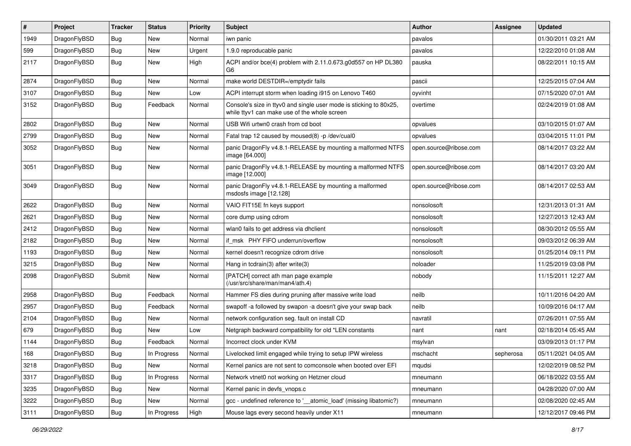| #    | Project      | <b>Tracker</b> | <b>Status</b> | <b>Priority</b> | Subject                                                                                                            | Author                 | Assignee  | <b>Updated</b>      |
|------|--------------|----------------|---------------|-----------------|--------------------------------------------------------------------------------------------------------------------|------------------------|-----------|---------------------|
| 1949 | DragonFlyBSD | Bug            | <b>New</b>    | Normal          | iwn panic                                                                                                          | pavalos                |           | 01/30/2011 03:21 AM |
| 599  | DragonFlyBSD | Bug            | <b>New</b>    | Urgent          | 1.9.0 reproducable panic                                                                                           | pavalos                |           | 12/22/2010 01:08 AM |
| 2117 | DragonFlyBSD | Bug            | New           | High            | ACPI and/or bce(4) problem with 2.11.0.673.g0d557 on HP DL380<br>G6                                                | pauska                 |           | 08/22/2011 10:15 AM |
| 2874 | DragonFlyBSD | Bug            | <b>New</b>    | Normal          | make world DESTDIR=/emptydir fails                                                                                 | pascii                 |           | 12/25/2015 07:04 AM |
| 3107 | DragonFlyBSD | Bug            | New           | Low             | ACPI interrupt storm when loading i915 on Lenovo T460                                                              | oyvinht                |           | 07/15/2020 07:01 AM |
| 3152 | DragonFlyBSD | Bug            | Feedback      | Normal          | Console's size in ttyv0 and single user mode is sticking to 80x25,<br>while ttyv1 can make use of the whole screen | overtime               |           | 02/24/2019 01:08 AM |
| 2802 | DragonFlyBSD | Bug            | <b>New</b>    | Normal          | USB Wifi urtwn0 crash from cd boot                                                                                 | opvalues               |           | 03/10/2015 01:07 AM |
| 2799 | DragonFlyBSD | Bug            | <b>New</b>    | Normal          | Fatal trap 12 caused by moused(8) -p /dev/cual0                                                                    | opvalues               |           | 03/04/2015 11:01 PM |
| 3052 | DragonFlyBSD | <b>Bug</b>     | New           | Normal          | panic DragonFly v4.8.1-RELEASE by mounting a malformed NTFS<br>image [64.000]                                      | open.source@ribose.com |           | 08/14/2017 03:22 AM |
| 3051 | DragonFlyBSD | <b>Bug</b>     | New           | Normal          | panic DragonFly v4.8.1-RELEASE by mounting a malformed NTFS<br>image [12.000]                                      | open.source@ribose.com |           | 08/14/2017 03:20 AM |
| 3049 | DragonFlyBSD | <b>Bug</b>     | <b>New</b>    | Normal          | panic DragonFly v4.8.1-RELEASE by mounting a malformed<br>msdosfs image [12.128]                                   | open.source@ribose.com |           | 08/14/2017 02:53 AM |
| 2622 | DragonFlyBSD | Bug            | <b>New</b>    | Normal          | VAIO FIT15E fn keys support                                                                                        | nonsolosoft            |           | 12/31/2013 01:31 AM |
| 2621 | DragonFlyBSD | Bug            | <b>New</b>    | Normal          | core dump using cdrom                                                                                              | nonsolosoft            |           | 12/27/2013 12:43 AM |
| 2412 | DragonFlyBSD | <b>Bug</b>     | New           | Normal          | wlan0 fails to get address via dhclient                                                                            | nonsolosoft            |           | 08/30/2012 05:55 AM |
| 2182 | DragonFlyBSD | Bug            | New           | Normal          | if msk PHY FIFO underrun/overflow                                                                                  | nonsolosoft            |           | 09/03/2012 06:39 AM |
| 1193 | DragonFlyBSD | <b>Bug</b>     | <b>New</b>    | Normal          | kernel doesn't recognize cdrom drive                                                                               | nonsolosoft            |           | 01/25/2014 09:11 PM |
| 3215 | DragonFlyBSD | <b>Bug</b>     | New           | Normal          | Hang in tcdrain(3) after write(3)                                                                                  | noloader               |           | 11/25/2019 03:08 PM |
| 2098 | DragonFlyBSD | Submit         | <b>New</b>    | Normal          | [PATCH] correct ath man page example<br>(/usr/src/share/man/man4/ath.4)                                            | nobody                 |           | 11/15/2011 12:27 AM |
| 2958 | DragonFlyBSD | <b>Bug</b>     | Feedback      | Normal          | Hammer FS dies during pruning after massive write load                                                             | neilb                  |           | 10/11/2016 04:20 AM |
| 2957 | DragonFlyBSD | Bug            | Feedback      | Normal          | swapoff -a followed by swapon -a doesn't give your swap back                                                       | neilb                  |           | 10/09/2016 04:17 AM |
| 2104 | DragonFlyBSD | Bug            | <b>New</b>    | Normal          | network configuration seg. fault on install CD                                                                     | navratil               |           | 07/26/2011 07:55 AM |
| 679  | DragonFlyBSD | Bug            | <b>New</b>    | Low             | Netgraph backward compatibility for old *LEN constants                                                             | nant                   | nant      | 02/18/2014 05:45 AM |
| 1144 | DragonFlyBSD | <b>Bug</b>     | Feedback      | Normal          | Incorrect clock under KVM                                                                                          | msylvan                |           | 03/09/2013 01:17 PM |
| 168  | DragonFlyBSD | Bug            | In Progress   | Normal          | Livelocked limit engaged while trying to setup IPW wireless                                                        | mschacht               | sepherosa | 05/11/2021 04:05 AM |
| 3218 | DragonFlyBSD | <b>Bug</b>     | New           | Normal          | Kernel panics are not sent to comconsole when booted over EFI                                                      | mqudsi                 |           | 12/02/2019 08:52 PM |
| 3317 | DragonFlyBSD | <b>Bug</b>     | In Progress   | Normal          | Network vtnet0 not working on Hetzner cloud                                                                        | mneumann               |           | 06/18/2022 03:55 AM |
| 3235 | DragonFlyBSD | Bug            | New           | Normal          | Kernel panic in devfs_vnops.c                                                                                      | mneumann               |           | 04/28/2020 07:00 AM |
| 3222 | DragonFlyBSD | <b>Bug</b>     | New           | Normal          | gcc - undefined reference to '_atomic_load' (missing libatomic?)                                                   | mneumann               |           | 02/08/2020 02:45 AM |
| 3111 | DragonFlyBSD | Bug            | In Progress   | High            | Mouse lags every second heavily under X11                                                                          | mneumann               |           | 12/12/2017 09:46 PM |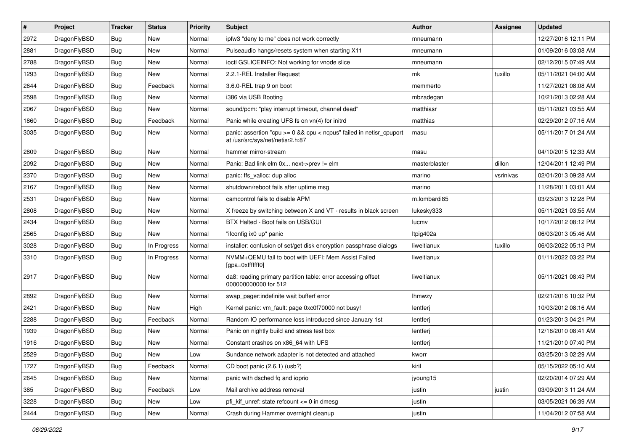| $\pmb{\#}$ | Project      | <b>Tracker</b> | <b>Status</b> | <b>Priority</b> | Subject                                                                                                 | Author        | Assignee  | <b>Updated</b>      |
|------------|--------------|----------------|---------------|-----------------|---------------------------------------------------------------------------------------------------------|---------------|-----------|---------------------|
| 2972       | DragonFlyBSD | Bug            | <b>New</b>    | Normal          | ipfw3 "deny to me" does not work correctly                                                              | mneumann      |           | 12/27/2016 12:11 PM |
| 2881       | DragonFlyBSD | Bug            | <b>New</b>    | Normal          | Pulseaudio hangs/resets system when starting X11                                                        | mneumann      |           | 01/09/2016 03:08 AM |
| 2788       | DragonFlyBSD | Bug            | <b>New</b>    | Normal          | ioctl GSLICEINFO: Not working for vnode slice                                                           | mneumann      |           | 02/12/2015 07:49 AM |
| 1293       | DragonFlyBSD | Bug            | <b>New</b>    | Normal          | 2.2.1-REL Installer Request                                                                             | mk            | tuxillo   | 05/11/2021 04:00 AM |
| 2644       | DragonFlyBSD | Bug            | Feedback      | Normal          | 3.6.0-REL trap 9 on boot                                                                                | memmerto      |           | 11/27/2021 08:08 AM |
| 2598       | DragonFlyBSD | Bug            | New           | Normal          | i386 via USB Booting                                                                                    | mbzadegan     |           | 10/21/2013 02:28 AM |
| 2067       | DragonFlyBSD | Bug            | <b>New</b>    | Normal          | sound/pcm: "play interrupt timeout, channel dead"                                                       | matthiasr     |           | 05/11/2021 03:55 AM |
| 1860       | DragonFlyBSD | Bug            | Feedback      | Normal          | Panic while creating UFS fs on vn(4) for initrd                                                         | matthias      |           | 02/29/2012 07:16 AM |
| 3035       | DragonFlyBSD | Bug            | New           | Normal          | panic: assertion "cpu >= 0 && cpu < ncpus" failed in netisr_cpuport<br>at /usr/src/sys/net/netisr2.h:87 | masu          |           | 05/11/2017 01:24 AM |
| 2809       | DragonFlyBSD | Bug            | <b>New</b>    | Normal          | hammer mirror-stream                                                                                    | masu          |           | 04/10/2015 12:33 AM |
| 2092       | DragonFlyBSD | Bug            | <b>New</b>    | Normal          | Panic: Bad link elm 0x next->prev != elm                                                                | masterblaster | dillon    | 12/04/2011 12:49 PM |
| 2370       | DragonFlyBSD | Bug            | <b>New</b>    | Normal          | panic: ffs valloc: dup alloc                                                                            | marino        | vsrinivas | 02/01/2013 09:28 AM |
| 2167       | DragonFlyBSD | Bug            | <b>New</b>    | Normal          | shutdown/reboot fails after uptime msg                                                                  | marino        |           | 11/28/2011 03:01 AM |
| 2531       | DragonFlyBSD | Bug            | <b>New</b>    | Normal          | camcontrol fails to disable APM                                                                         | m.lombardi85  |           | 03/23/2013 12:28 PM |
| 2808       | DragonFlyBSD | <b>Bug</b>     | New           | Normal          | X freeze by switching between X and VT - results in black screen                                        | lukesky333    |           | 05/11/2021 03:55 AM |
| 2434       | DragonFlyBSD | Bug            | New           | Normal          | BTX Halted - Boot fails on USB/GUI                                                                      | lucmv         |           | 10/17/2012 08:12 PM |
| 2565       | DragonFlyBSD | Bug            | <b>New</b>    | Normal          | "ifconfig ix0 up" panic                                                                                 | Itpig402a     |           | 06/03/2013 05:46 AM |
| 3028       | DragonFlyBSD | Bug            | In Progress   | Normal          | installer: confusion of set/get disk encryption passphrase dialogs                                      | liweitianux   | tuxillo   | 06/03/2022 05:13 PM |
| 3310       | DragonFlyBSD | Bug            | In Progress   | Normal          | NVMM+QEMU fail to boot with UEFI: Mem Assist Failed<br>[gpa=0xfffffff0]                                 | liweitianux   |           | 01/11/2022 03:22 PM |
| 2917       | DragonFlyBSD | Bug            | <b>New</b>    | Normal          | da8: reading primary partition table: error accessing offset<br>000000000000 for 512                    | liweitianux   |           | 05/11/2021 08:43 PM |
| 2892       | DragonFlyBSD | Bug            | <b>New</b>    | Normal          | swap_pager:indefinite wait bufferf error                                                                | <b>Ihmwzy</b> |           | 02/21/2016 10:32 PM |
| 2421       | DragonFlyBSD | Bug            | <b>New</b>    | High            | Kernel panic: vm_fault: page 0xc0f70000 not busy!                                                       | lentferj      |           | 10/03/2012 08:16 AM |
| 2288       | DragonFlyBSD | Bug            | Feedback      | Normal          | Random IO performance loss introduced since January 1st                                                 | lentferj      |           | 01/23/2013 04:21 PM |
| 1939       | DragonFlyBSD | Bug            | <b>New</b>    | Normal          | Panic on nightly build and stress test box                                                              | lentferj      |           | 12/18/2010 08:41 AM |
| 1916       | DragonFlyBSD | Bug            | <b>New</b>    | Normal          | Constant crashes on x86 64 with UFS                                                                     | lentferj      |           | 11/21/2010 07:40 PM |
| 2529       | DragonFlyBSD | Bug            | New           | Low             | Sundance network adapter is not detected and attached                                                   | kworr         |           | 03/25/2013 02:29 AM |
| 1727       | DragonFlyBSD | <b>Bug</b>     | Feedback      | Normal          | CD boot panic (2.6.1) (usb?)                                                                            | kiril         |           | 05/15/2022 05:10 AM |
| 2645       | DragonFlyBSD | Bug            | New           | Normal          | panic with dsched fq and ioprio                                                                         | jyoung15      |           | 02/20/2014 07:29 AM |
| 385        | DragonFlyBSD | Bug            | Feedback      | Low             | Mail archive address removal                                                                            | justin        | justin    | 03/09/2013 11:24 AM |
| 3228       | DragonFlyBSD | <b>Bug</b>     | New           | Low             | pfi_kif_unref: state refcount <= 0 in dmesg                                                             | justin        |           | 03/05/2021 06:39 AM |
| 2444       | DragonFlyBSD | Bug            | New           | Normal          | Crash during Hammer overnight cleanup                                                                   | justin        |           | 11/04/2012 07:58 AM |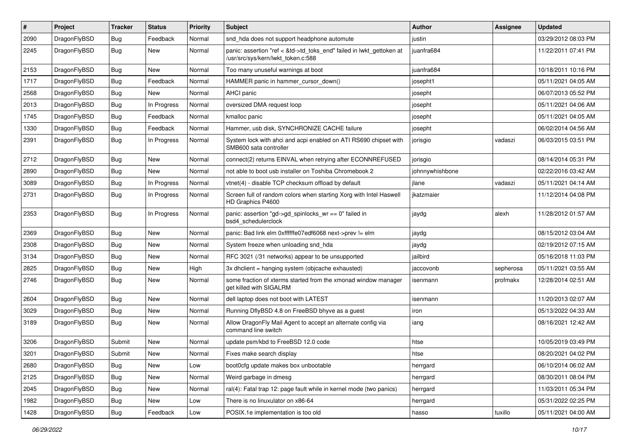| $\pmb{\#}$ | Project      | <b>Tracker</b> | <b>Status</b> | <b>Priority</b> | Subject                                                                                                    | Author          | Assignee  | <b>Updated</b>      |
|------------|--------------|----------------|---------------|-----------------|------------------------------------------------------------------------------------------------------------|-----------------|-----------|---------------------|
| 2090       | DragonFlyBSD | Bug            | Feedback      | Normal          | snd_hda does not support headphone automute                                                                | justin          |           | 03/29/2012 08:03 PM |
| 2245       | DragonFlyBSD | <b>Bug</b>     | New           | Normal          | panic: assertion "ref < &td->td_toks_end" failed in lwkt_gettoken at<br>/usr/src/sys/kern/lwkt_token.c:588 | juanfra684      |           | 11/22/2011 07:41 PM |
| 2153       | DragonFlyBSD | Bug            | New           | Normal          | Too many unuseful warnings at boot                                                                         | juanfra684      |           | 10/18/2011 10:16 PM |
| 1717       | DragonFlyBSD | Bug            | Feedback      | Normal          | HAMMER panic in hammer_cursor_down()                                                                       | josepht1        |           | 05/11/2021 04:05 AM |
| 2568       | DragonFlyBSD | Bug            | New           | Normal          | <b>AHCI</b> panic                                                                                          | josepht         |           | 06/07/2013 05:52 PM |
| 2013       | DragonFlyBSD | Bug            | In Progress   | Normal          | oversized DMA request loop                                                                                 | josepht         |           | 05/11/2021 04:06 AM |
| 1745       | DragonFlyBSD | Bug            | Feedback      | Normal          | kmalloc panic                                                                                              | josepht         |           | 05/11/2021 04:05 AM |
| 1330       | DragonFlyBSD | Bug            | Feedback      | Normal          | Hammer, usb disk, SYNCHRONIZE CACHE failure                                                                | josepht         |           | 06/02/2014 04:56 AM |
| 2391       | DragonFlyBSD | Bug            | In Progress   | Normal          | System lock with ahci and acpi enabled on ATI RS690 chipset with<br>SMB600 sata controller                 | jorisgio        | vadaszi   | 06/03/2015 03:51 PM |
| 2712       | DragonFlyBSD | Bug            | <b>New</b>    | Normal          | connect(2) returns EINVAL when retrying after ECONNREFUSED                                                 | jorisgio        |           | 08/14/2014 05:31 PM |
| 2890       | DragonFlyBSD | <b>Bug</b>     | <b>New</b>    | Normal          | not able to boot usb installer on Toshiba Chromebook 2                                                     | johnnywhishbone |           | 02/22/2016 03:42 AM |
| 3089       | DragonFlyBSD | Bug            | In Progress   | Normal          | vtnet(4) - disable TCP checksum offload by default                                                         | jlane           | vadaszi   | 05/11/2021 04:14 AM |
| 2731       | DragonFlyBSD | Bug            | In Progress   | Normal          | Screen full of random colors when starting Xorg with Intel Haswell<br>HD Graphics P4600                    | ikatzmaier      |           | 11/12/2014 04:08 PM |
| 2353       | DragonFlyBSD | Bug            | In Progress   | Normal          | panic: assertion "gd->gd_spinlocks_wr == 0" failed in<br>bsd4_schedulerclock                               | jaydg           | alexh     | 11/28/2012 01:57 AM |
| 2369       | DragonFlyBSD | <b>Bug</b>     | <b>New</b>    | Normal          | panic: Bad link elm 0xffffffe07edf6068 next->prev != elm                                                   | jaydg           |           | 08/15/2012 03:04 AM |
| 2308       | DragonFlyBSD | Bug            | <b>New</b>    | Normal          | System freeze when unloading snd hda                                                                       | jaydg           |           | 02/19/2012 07:15 AM |
| 3134       | DragonFlyBSD | Bug            | <b>New</b>    | Normal          | RFC 3021 (/31 networks) appear to be unsupported                                                           | jailbird        |           | 05/16/2018 11:03 PM |
| 2825       | DragonFlyBSD | <b>Bug</b>     | New           | High            | 3x dhclient = hanging system (objcache exhausted)                                                          | jaccovonb       | sepherosa | 05/11/2021 03:55 AM |
| 2746       | DragonFlyBSD | Bug            | New           | Normal          | some fraction of xterms started from the xmonad window manager<br>get killed with SIGALRM                  | isenmann        | profmakx  | 12/28/2014 02:51 AM |
| 2604       | DragonFlyBSD | Bug            | <b>New</b>    | Normal          | dell laptop does not boot with LATEST                                                                      | isenmann        |           | 11/20/2013 02:07 AM |
| 3029       | DragonFlyBSD | Bug            | <b>New</b>    | Normal          | Running DflyBSD 4.8 on FreeBSD bhyve as a guest                                                            | iron            |           | 05/13/2022 04:33 AM |
| 3189       | DragonFlyBSD | Bug            | New           | Normal          | Allow DragonFly Mail Agent to accept an alternate config via<br>command line switch                        | iang            |           | 08/16/2021 12:42 AM |
| 3206       | DragonFlyBSD | Submit         | <b>New</b>    | Normal          | update psm/kbd to FreeBSD 12.0 code                                                                        | htse            |           | 10/05/2019 03:49 PM |
| 3201       | DragonFlyBSD | Submit         | New           | Normal          | Fixes make search display                                                                                  | htse            |           | 08/20/2021 04:02 PM |
| 2680       | DragonFlyBSD | Bug            | New           | Low             | boot0cfg update makes box unbootable                                                                       | herrgard        |           | 06/10/2014 06:02 AM |
| 2125       | DragonFlyBSD | Bug            | New           | Normal          | Weird garbage in dmesg                                                                                     | herrgard        |           | 08/30/2011 08:04 PM |
| 2045       | DragonFlyBSD | <b>Bug</b>     | New           | Normal          | ral(4): Fatal trap 12: page fault while in kernel mode (two panics)                                        | herrgard        |           | 11/03/2011 05:34 PM |
| 1982       | DragonFlyBSD | Bug            | New           | Low             | There is no linuxulator on x86-64                                                                          | herrgard        |           | 05/31/2022 02:25 PM |
| 1428       | DragonFlyBSD | Bug            | Feedback      | Low             | POSIX.1e implementation is too old                                                                         | hasso           | tuxillo   | 05/11/2021 04:00 AM |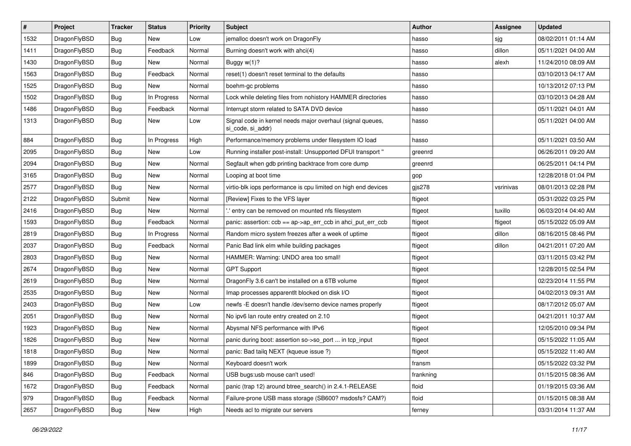| $\vert$ # | Project      | <b>Tracker</b> | <b>Status</b> | <b>Priority</b> | <b>Subject</b>                                                                  | <b>Author</b> | Assignee  | <b>Updated</b>      |
|-----------|--------------|----------------|---------------|-----------------|---------------------------------------------------------------------------------|---------------|-----------|---------------------|
| 1532      | DragonFlyBSD | <b>Bug</b>     | <b>New</b>    | Low             | jemalloc doesn't work on DragonFly                                              | hasso         | sjg       | 08/02/2011 01:14 AM |
| 1411      | DragonFlyBSD | <b>Bug</b>     | Feedback      | Normal          | Burning doesn't work with ahci(4)                                               | hasso         | dillon    | 05/11/2021 04:00 AM |
| 1430      | DragonFlyBSD | <b>Bug</b>     | New           | Normal          | Buggy $w(1)$ ?                                                                  | hasso         | alexh     | 11/24/2010 08:09 AM |
| 1563      | DragonFlyBSD | Bug            | Feedback      | Normal          | reset(1) doesn't reset terminal to the defaults                                 | hasso         |           | 03/10/2013 04:17 AM |
| 1525      | DragonFlyBSD | <b>Bug</b>     | New           | Normal          | boehm-gc problems                                                               | hasso         |           | 10/13/2012 07:13 PM |
| 1502      | DragonFlyBSD | <b>Bug</b>     | In Progress   | Normal          | Lock while deleting files from nohistory HAMMER directories                     | hasso         |           | 03/10/2013 04:28 AM |
| 1486      | DragonFlyBSD | Bug            | Feedback      | Normal          | Interrupt storm related to SATA DVD device                                      | hasso         |           | 05/11/2021 04:01 AM |
| 1313      | DragonFlyBSD | <b>Bug</b>     | New           | Low             | Signal code in kernel needs major overhaul (signal queues,<br>si code, si addr) | hasso         |           | 05/11/2021 04:00 AM |
| 884       | DragonFlyBSD | Bug            | In Progress   | High            | Performance/memory problems under filesystem IO load                            | hasso         |           | 05/11/2021 03:50 AM |
| 2095      | DragonFlyBSD | <b>Bug</b>     | <b>New</b>    | Low             | Running installer post-install: Unsupported DFUI transport "                    | greenrd       |           | 06/26/2011 09:20 AM |
| 2094      | DragonFlyBSD | Bug            | <b>New</b>    | Normal          | Segfault when gdb printing backtrace from core dump                             | greenrd       |           | 06/25/2011 04:14 PM |
| 3165      | DragonFlyBSD | <b>Bug</b>     | <b>New</b>    | Normal          | Looping at boot time                                                            | gop           |           | 12/28/2018 01:04 PM |
| 2577      | DragonFlyBSD | <b>Bug</b>     | New           | Normal          | virtio-blk iops performance is cpu limited on high end devices                  | $g$ js $278$  | vsrinivas | 08/01/2013 02:28 PM |
| 2122      | DragonFlyBSD | Submit         | <b>New</b>    | Normal          | [Review] Fixes to the VFS layer                                                 | ftigeot       |           | 05/31/2022 03:25 PM |
| 2416      | DragonFlyBSD | <b>Bug</b>     | New           | Normal          | ".' entry can be removed on mounted nfs filesystem                              | ftigeot       | tuxillo   | 06/03/2014 04:40 AM |
| 1593      | DragonFlyBSD | <b>Bug</b>     | Feedback      | Normal          | panic: assertion: ccb == ap->ap_err_ccb in ahci_put_err_ccb                     | ftigeot       | ftigeot   | 05/15/2022 05:09 AM |
| 2819      | DragonFlyBSD | <b>Bug</b>     | In Progress   | Normal          | Random micro system freezes after a week of uptime                              | ftigeot       | dillon    | 08/16/2015 08:46 PM |
| 2037      | DragonFlyBSD | <b>Bug</b>     | Feedback      | Normal          | Panic Bad link elm while building packages                                      | ftigeot       | dillon    | 04/21/2011 07:20 AM |
| 2803      | DragonFlyBSD | Bug            | <b>New</b>    | Normal          | HAMMER: Warning: UNDO area too small!                                           | ftigeot       |           | 03/11/2015 03:42 PM |
| 2674      | DragonFlyBSD | <b>Bug</b>     | New           | Normal          | <b>GPT Support</b>                                                              | ftigeot       |           | 12/28/2015 02:54 PM |
| 2619      | DragonFlyBSD | <b>Bug</b>     | <b>New</b>    | Normal          | DragonFly 3.6 can't be installed on a 6TB volume                                | ftigeot       |           | 02/23/2014 11:55 PM |
| 2535      | DragonFlyBSD | Bug            | <b>New</b>    | Normal          | Imap processes apparentlt blocked on disk I/O                                   | ftigeot       |           | 04/02/2013 09:31 AM |
| 2403      | DragonFlyBSD | <b>Bug</b>     | New           | Low             | newfs -E doesn't handle /dev/serno device names properly                        | ftigeot       |           | 08/17/2012 05:07 AM |
| 2051      | DragonFlyBSD | Bug            | <b>New</b>    | Normal          | No ipv6 lan route entry created on 2.10                                         | ftigeot       |           | 04/21/2011 10:37 AM |
| 1923      | DragonFlyBSD | <b>Bug</b>     | New           | Normal          | Abysmal NFS performance with IPv6                                               | ftigeot       |           | 12/05/2010 09:34 PM |
| 1826      | DragonFlyBSD | <b>Bug</b>     | New           | Normal          | panic during boot: assertion so->so_port  in tcp_input                          | ftigeot       |           | 05/15/2022 11:05 AM |
| 1818      | DragonFlyBSD | Bug            | <b>New</b>    | Normal          | panic: Bad tailq NEXT (kqueue issue ?)                                          | ftigeot       |           | 05/15/2022 11:40 AM |
| 1899      | DragonFlyBSD | <b>Bug</b>     | New           | Normal          | Keyboard doesn't work                                                           | fransm        |           | 05/15/2022 03:32 PM |
| 846       | DragonFlyBSD | <b>Bug</b>     | Feedback      | Normal          | USB bugs:usb mouse can't used!                                                  | frankning     |           | 01/15/2015 08:36 AM |
| 1672      | DragonFlyBSD | <b>Bug</b>     | Feedback      | Normal          | panic (trap 12) around btree_search() in 2.4.1-RELEASE                          | floid         |           | 01/19/2015 03:36 AM |
| 979       | DragonFlyBSD | <b>Bug</b>     | Feedback      | Normal          | Failure-prone USB mass storage (SB600? msdosfs? CAM?)                           | floid         |           | 01/15/2015 08:38 AM |
| 2657      | DragonFlyBSD | <b>Bug</b>     | New           | High            | Needs acl to migrate our servers                                                | ferney        |           | 03/31/2014 11:37 AM |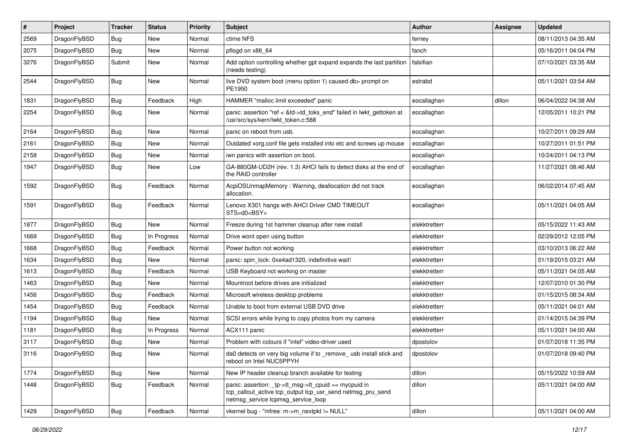| #    | Project      | <b>Tracker</b> | <b>Status</b> | <b>Priority</b> | Subject                                                                                                                                                   | Author        | Assignee | <b>Updated</b>      |
|------|--------------|----------------|---------------|-----------------|-----------------------------------------------------------------------------------------------------------------------------------------------------------|---------------|----------|---------------------|
| 2569 | DragonFlyBSD | <b>Bug</b>     | <b>New</b>    | Normal          | ctime NFS                                                                                                                                                 | ferney        |          | 08/11/2013 04:35 AM |
| 2075 | DragonFlyBSD | <b>Bug</b>     | <b>New</b>    | Normal          | pflogd on x86_64                                                                                                                                          | fanch         |          | 05/16/2011 04:04 PM |
| 3276 | DragonFlyBSD | Submit         | New           | Normal          | Add option controlling whether gpt expand expands the last partition<br>(needs testing)                                                                   | falsifian     |          | 07/10/2021 03:35 AM |
| 2544 | DragonFlyBSD | <b>Bug</b>     | New           | Normal          | live DVD system boot (menu option 1) caused db> prompt on<br>PE1950                                                                                       | estrabd       |          | 05/11/2021 03:54 AM |
| 1831 | DragonFlyBSD | <b>Bug</b>     | Feedback      | High            | HAMMER "malloc limit exceeded" panic                                                                                                                      | eocallaghan   | dillon   | 06/04/2022 04:38 AM |
| 2254 | DragonFlyBSD | <b>Bug</b>     | New           | Normal          | panic: assertion "ref < &td->td_toks_end" failed in lwkt_gettoken at<br>/usr/src/sys/kern/lwkt_token.c:588                                                | eocallaghan   |          | 12/05/2011 10:21 PM |
| 2164 | DragonFlyBSD | <b>Bug</b>     | New           | Normal          | panic on reboot from usb.                                                                                                                                 | eocallaghan   |          | 10/27/2011 09:29 AM |
| 2161 | DragonFlyBSD | <b>Bug</b>     | New           | Normal          | Outdated xorg.conf file gets installed into etc and screws up mouse                                                                                       | eocallaghan   |          | 10/27/2011 01:51 PM |
| 2158 | DragonFlyBSD | <b>Bug</b>     | New           | Normal          | iwn panics with assertion on boot.                                                                                                                        | eocallaghan   |          | 10/24/2011 04:13 PM |
| 1947 | DragonFlyBSD | <b>Bug</b>     | New           | Low             | GA-880GM-UD2H (rev. 1.3) AHCI fails to detect disks at the end of<br>the RAID controller                                                                  | eocallaghan   |          | 11/27/2021 08:46 AM |
| 1592 | DragonFlyBSD | <b>Bug</b>     | Feedback      | Normal          | AcpiOSUnmapMemory: Warning, deallocation did not track<br>allocation.                                                                                     | eocallaghan   |          | 06/02/2014 07:45 AM |
| 1591 | DragonFlyBSD | Bug            | Feedback      | Normal          | Lenovo X301 hangs with AHCI Driver CMD TIMEOUT<br>STS=d0 <bsy></bsy>                                                                                      | eocallaghan   |          | 05/11/2021 04:05 AM |
| 1877 | DragonFlyBSD | <b>Bug</b>     | New           | Normal          | Freeze during 1st hammer cleanup after new install                                                                                                        | elekktretterr |          | 05/15/2022 11:43 AM |
| 1669 | DragonFlyBSD | <b>Bug</b>     | In Progress   | Normal          | Drive wont open using button                                                                                                                              | elekktretterr |          | 02/29/2012 12:05 PM |
| 1668 | DragonFlyBSD | Bug            | Feedback      | Normal          | Power button not working                                                                                                                                  | elekktretterr |          | 03/10/2013 06:22 AM |
| 1634 | DragonFlyBSD | <b>Bug</b>     | New           | Normal          | panic: spin lock: 0xe4ad1320, indefinitive wait!                                                                                                          | elekktretterr |          | 01/19/2015 03:21 AM |
| 1613 | DragonFlyBSD | <b>Bug</b>     | Feedback      | Normal          | USB Keyboard not working on master                                                                                                                        | elekktretterr |          | 05/11/2021 04:05 AM |
| 1463 | DragonFlyBSD | <b>Bug</b>     | New           | Normal          | Mountroot before drives are initialized                                                                                                                   | elekktretterr |          | 12/07/2010 01:30 PM |
| 1456 | DragonFlyBSD | <b>Bug</b>     | Feedback      | Normal          | Microsoft wireless desktop problems                                                                                                                       | elekktretterr |          | 01/15/2015 08:34 AM |
| 1454 | DragonFlyBSD | Bug            | Feedback      | Normal          | Unable to boot from external USB DVD drive                                                                                                                | elekktretterr |          | 05/11/2021 04:01 AM |
| 1194 | DragonFlyBSD | <b>Bug</b>     | New           | Normal          | SCSI errors while trying to copy photos from my camera                                                                                                    | elekktretterr |          | 01/14/2015 04:39 PM |
| 1181 | DragonFlyBSD | <b>Bug</b>     | In Progress   | Normal          | ACX111 panic                                                                                                                                              | elekktretterr |          | 05/11/2021 04:00 AM |
| 3117 | DragonFlyBSD | <b>Bug</b>     | New           | Normal          | Problem with colours if "intel" video-driver used                                                                                                         | dpostolov     |          | 01/07/2018 11:35 PM |
| 3116 | DragonFlyBSD | Bug            | <b>New</b>    | Normal          | da0 detects on very big volume if to remove usb install stick and<br>reboot on Intel NUC5PPYH                                                             | dpostolov     |          | 01/07/2018 09:40 PM |
| 1774 | DragonFlyBSD | <b>Bug</b>     | <b>New</b>    | Normal          | New IP header cleanup branch available for testing                                                                                                        | dillon        |          | 05/15/2022 10:59 AM |
| 1448 | DragonFlyBSD | Bug            | Feedback      | Normal          | panic: assertion: _tp->tt_msg->tt_cpuid == mycpuid in<br>tcp_callout_active tcp_output tcp_usr_send netmsg_pru_send<br>netmsg service tcpmsg service loop | dillon        |          | 05/11/2021 04:00 AM |
| 1429 | DragonFlyBSD | <b>Bug</b>     | Feedback      | Normal          | vkernel bug - "mfree: m->m nextpkt != NULL"                                                                                                               | dillon        |          | 05/11/2021 04:00 AM |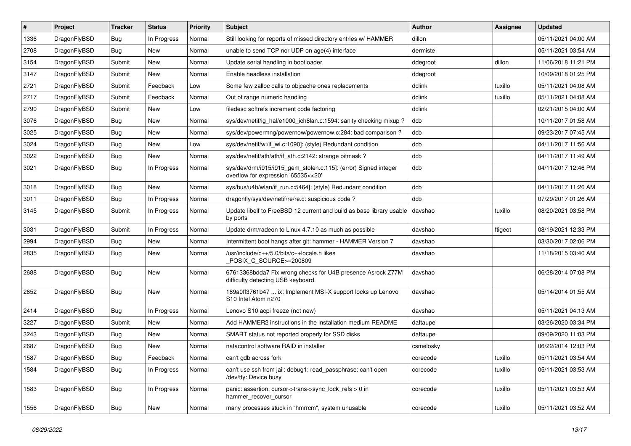| #    | Project      | <b>Tracker</b> | <b>Status</b> | <b>Priority</b> | <b>Subject</b>                                                                                         | Author    | <b>Assignee</b> | <b>Updated</b>      |
|------|--------------|----------------|---------------|-----------------|--------------------------------------------------------------------------------------------------------|-----------|-----------------|---------------------|
| 1336 | DragonFlyBSD | Bug            | In Progress   | Normal          | Still looking for reports of missed directory entries w/ HAMMER                                        | dillon    |                 | 05/11/2021 04:00 AM |
| 2708 | DragonFlyBSD | Bug            | New           | Normal          | unable to send TCP nor UDP on age(4) interface                                                         | dermiste  |                 | 05/11/2021 03:54 AM |
| 3154 | DragonFlyBSD | Submit         | New           | Normal          | Update serial handling in bootloader                                                                   | ddegroot  | dillon          | 11/06/2018 11:21 PM |
| 3147 | DragonFlyBSD | Submit         | New           | Normal          | Enable headless installation                                                                           | ddegroot  |                 | 10/09/2018 01:25 PM |
| 2721 | DragonFlyBSD | Submit         | Feedback      | Low             | Some few zalloc calls to objcache ones replacements                                                    | dclink    | tuxillo         | 05/11/2021 04:08 AM |
| 2717 | DragonFlyBSD | Submit         | Feedback      | Normal          | Out of range numeric handling                                                                          | dclink    | tuxillo         | 05/11/2021 04:08 AM |
| 2790 | DragonFlyBSD | Submit         | <b>New</b>    | Low             | filedesc softrefs increment code factoring                                                             | dclink    |                 | 02/21/2015 04:00 AM |
| 3076 | DragonFlyBSD | Bug            | New           | Normal          | sys/dev/netif/ig hal/e1000 ich8lan.c:1594: sanity checking mixup?                                      | dcb       |                 | 10/11/2017 01:58 AM |
| 3025 | DragonFlyBSD | Bug            | New           | Normal          | sys/dev/powermng/powernow/powernow.c:284: bad comparison?                                              | dcb       |                 | 09/23/2017 07:45 AM |
| 3024 | DragonFlyBSD | <b>Bug</b>     | New           | Low             | sys/dev/netif/wi/if_wi.c:1090]: (style) Redundant condition                                            | dcb       |                 | 04/11/2017 11:56 AM |
| 3022 | DragonFlyBSD | Bug            | New           | Normal          | sys/dev/netif/ath/ath/if ath.c:2142: strange bitmask?                                                  | dcb       |                 | 04/11/2017 11:49 AM |
| 3021 | DragonFlyBSD | Bug            | In Progress   | Normal          | sys/dev/drm/i915/i915_gem_stolen.c:115]: (error) Signed integer<br>overflow for expression '65535<<20' | dcb       |                 | 04/11/2017 12:46 PM |
| 3018 | DragonFlyBSD | Bug            | New           | Normal          | sys/bus/u4b/wlan/if_run.c:5464]: (style) Redundant condition                                           | dcb       |                 | 04/11/2017 11:26 AM |
| 3011 | DragonFlyBSD | Bug            | In Progress   | Normal          | dragonfly/sys/dev/netif/re/re.c: suspicious code ?                                                     | dcb       |                 | 07/29/2017 01:26 AM |
| 3145 | DragonFlyBSD | Submit         | In Progress   | Normal          | Update libelf to FreeBSD 12 current and build as base library usable<br>by ports                       | davshao   | tuxillo         | 08/20/2021 03:58 PM |
| 3031 | DragonFlyBSD | Submit         | In Progress   | Normal          | Update drm/radeon to Linux 4.7.10 as much as possible                                                  | davshao   | ftigeot         | 08/19/2021 12:33 PM |
| 2994 | DragonFlyBSD | Bug            | New           | Normal          | Intermittent boot hangs after git: hammer - HAMMER Version 7                                           | davshao   |                 | 03/30/2017 02:06 PM |
| 2835 | DragonFlyBSD | Bug            | New           | Normal          | /usr/include/c++/5.0/bits/c++locale.h likes<br>POSIX_C_SOURCE>=200809                                  | davshao   |                 | 11/18/2015 03:40 AM |
| 2688 | DragonFlyBSD | Bug            | New           | Normal          | 67613368bdda7 Fix wrong checks for U4B presence Asrock Z77M<br>difficulty detecting USB keyboard       | davshao   |                 | 06/28/2014 07:08 PM |
| 2652 | DragonFlyBSD | Bug            | <b>New</b>    | Normal          | 189a0ff3761b47  ix: Implement MSI-X support locks up Lenovo<br>S10 Intel Atom n270                     | davshao   |                 | 05/14/2014 01:55 AM |
| 2414 | DragonFlyBSD | Bug            | In Progress   | Normal          | Lenovo S10 acpi freeze (not new)                                                                       | davshao   |                 | 05/11/2021 04:13 AM |
| 3227 | DragonFlyBSD | Submit         | New           | Normal          | Add HAMMER2 instructions in the installation medium README                                             | daftaupe  |                 | 03/26/2020 03:34 PM |
| 3243 | DragonFlyBSD | Bug            | New           | Normal          | SMART status not reported properly for SSD disks                                                       | daftaupe  |                 | 09/09/2020 11:03 PM |
| 2687 | DragonFlyBSD | Bug            | New           | Normal          | natacontrol software RAID in installer                                                                 | csmelosky |                 | 06/22/2014 12:03 PM |
| 1587 | DragonFlyBSD | <b>Bug</b>     | Feedback      | Normal          | can't gdb across fork                                                                                  | corecode  | tuxillo         | 05/11/2021 03:54 AM |
| 1584 | DragonFlyBSD | Bug            | In Progress   | Normal          | can't use ssh from jail: debug1: read passphrase: can't open<br>/dev/tty: Device busy                  | corecode  | tuxillo         | 05/11/2021 03:53 AM |
| 1583 | DragonFlyBSD | <b>Bug</b>     | In Progress   | Normal          | panic: assertion: cursor->trans->sync_lock_refs > 0 in<br>hammer recover cursor                        | corecode  | tuxillo         | 05/11/2021 03:53 AM |
| 1556 | DragonFlyBSD | <b>Bug</b>     | New           | Normal          | many processes stuck in "hmrrcm", system unusable                                                      | corecode  | tuxillo         | 05/11/2021 03:52 AM |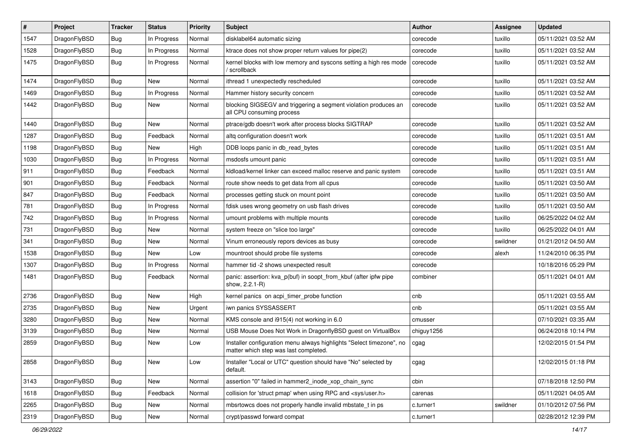| #    | Project      | <b>Tracker</b> | <b>Status</b> | <b>Priority</b> | <b>Subject</b>                                                                                                | Author     | Assignee | <b>Updated</b>      |
|------|--------------|----------------|---------------|-----------------|---------------------------------------------------------------------------------------------------------------|------------|----------|---------------------|
| 1547 | DragonFlyBSD | Bug            | In Progress   | Normal          | disklabel64 automatic sizing                                                                                  | corecode   | tuxillo  | 05/11/2021 03:52 AM |
| 1528 | DragonFlyBSD | Bug            | In Progress   | Normal          | ktrace does not show proper return values for pipe(2)                                                         | corecode   | tuxillo  | 05/11/2021 03:52 AM |
| 1475 | DragonFlyBSD | Bug            | In Progress   | Normal          | kernel blocks with low memory and syscons setting a high res mode<br>/ scrollback                             | corecode   | tuxillo  | 05/11/2021 03:52 AM |
| 1474 | DragonFlyBSD | Bug            | <b>New</b>    | Normal          | ithread 1 unexpectedly rescheduled                                                                            | corecode   | tuxillo  | 05/11/2021 03:52 AM |
| 1469 | DragonFlyBSD | Bug            | In Progress   | Normal          | Hammer history security concern                                                                               | corecode   | tuxillo  | 05/11/2021 03:52 AM |
| 1442 | DragonFlyBSD | Bug            | <b>New</b>    | Normal          | blocking SIGSEGV and triggering a segment violation produces an<br>all CPU consuming process                  | corecode   | tuxillo  | 05/11/2021 03:52 AM |
| 1440 | DragonFlyBSD | Bug            | New           | Normal          | ptrace/gdb doesn't work after process blocks SIGTRAP                                                          | corecode   | tuxillo  | 05/11/2021 03:52 AM |
| 1287 | DragonFlyBSD | Bug            | Feedback      | Normal          | altg configuration doesn't work                                                                               | corecode   | tuxillo  | 05/11/2021 03:51 AM |
| 1198 | DragonFlyBSD | Bug            | New           | High            | DDB loops panic in db_read_bytes                                                                              | corecode   | tuxillo  | 05/11/2021 03:51 AM |
| 1030 | DragonFlyBSD | <b>Bug</b>     | In Progress   | Normal          | msdosfs umount panic                                                                                          | corecode   | tuxillo  | 05/11/2021 03:51 AM |
| 911  | DragonFlyBSD | Bug            | Feedback      | Normal          | kldload/kernel linker can exceed malloc reserve and panic system                                              | corecode   | tuxillo  | 05/11/2021 03:51 AM |
| 901  | DragonFlyBSD | Bug            | Feedback      | Normal          | route show needs to get data from all cpus                                                                    | corecode   | tuxillo  | 05/11/2021 03:50 AM |
| 847  | DragonFlyBSD | Bug            | Feedback      | Normal          | processes getting stuck on mount point                                                                        | corecode   | tuxillo  | 05/11/2021 03:50 AM |
| 781  | DragonFlyBSD | Bug            | In Progress   | Normal          | fdisk uses wrong geometry on usb flash drives                                                                 | corecode   | tuxillo  | 05/11/2021 03:50 AM |
| 742  | DragonFlyBSD | Bug            | In Progress   | Normal          | umount problems with multiple mounts                                                                          | corecode   | tuxillo  | 06/25/2022 04:02 AM |
| 731  | DragonFlyBSD | Bug            | <b>New</b>    | Normal          | system freeze on "slice too large"                                                                            | corecode   | tuxillo  | 06/25/2022 04:01 AM |
| 341  | DragonFlyBSD | Bug            | New           | Normal          | Vinum erroneously repors devices as busy                                                                      | corecode   | swildner | 01/21/2012 04:50 AM |
| 1538 | DragonFlyBSD | Bug            | New           | Low             | mountroot should probe file systems                                                                           | corecode   | alexh    | 11/24/2010 06:35 PM |
| 1307 | DragonFlyBSD | <b>Bug</b>     | In Progress   | Normal          | hammer tid -2 shows unexpected result                                                                         | corecode   |          | 10/18/2016 05:29 PM |
| 1481 | DragonFlyBSD | Bug            | Feedback      | Normal          | panic: assertion: kva_p(buf) in soopt_from_kbuf (after ipfw pipe<br>show, 2.2.1-R)                            | combiner   |          | 05/11/2021 04:01 AM |
| 2736 | DragonFlyBSD | Bug            | <b>New</b>    | High            | kernel panics on acpi_timer_probe function                                                                    | cnb        |          | 05/11/2021 03:55 AM |
| 2735 | DragonFlyBSD | Bug            | New           | Urgent          | iwn panics SYSSASSERT                                                                                         | cnb        |          | 05/11/2021 03:55 AM |
| 3280 | DragonFlyBSD | Bug            | <b>New</b>    | Normal          | KMS console and i915(4) not working in 6.0                                                                    | cmusser    |          | 07/10/2021 03:35 AM |
| 3139 | DragonFlyBSD | Bug            | <b>New</b>    | Normal          | USB Mouse Does Not Work in DragonflyBSD guest on VirtualBox                                                   | chiguy1256 |          | 06/24/2018 10:14 PM |
| 2859 | DragonFlyBSD | Bug            | New           | Low             | Installer configuration menu always highlights "Select timezone", no<br>matter which step was last completed. | cgag       |          | 12/02/2015 01:54 PM |
| 2858 | DragonFlyBSD | <b>Bug</b>     | New           | Low             | Installer "Local or UTC" question should have "No" selected by<br>default.                                    | cgag       |          | 12/02/2015 01:18 PM |
| 3143 | DragonFlyBSD | <b>Bug</b>     | New           | Normal          | assertion "0" failed in hammer2 inode xop chain sync                                                          | cbin       |          | 07/18/2018 12:50 PM |
| 1618 | DragonFlyBSD | <b>Bug</b>     | Feedback      | Normal          | collision for 'struct pmap' when using RPC and <sys user.h=""></sys>                                          | carenas    |          | 05/11/2021 04:05 AM |
| 2265 | DragonFlyBSD | <b>Bug</b>     | <b>New</b>    | Normal          | mbsrtowcs does not properly handle invalid mbstate_t in ps                                                    | c.turner1  | swildner | 01/10/2012 07:56 PM |
| 2319 | DragonFlyBSD | Bug            | New           | Normal          | crypt/passwd forward compat                                                                                   | c.turner1  |          | 02/28/2012 12:39 PM |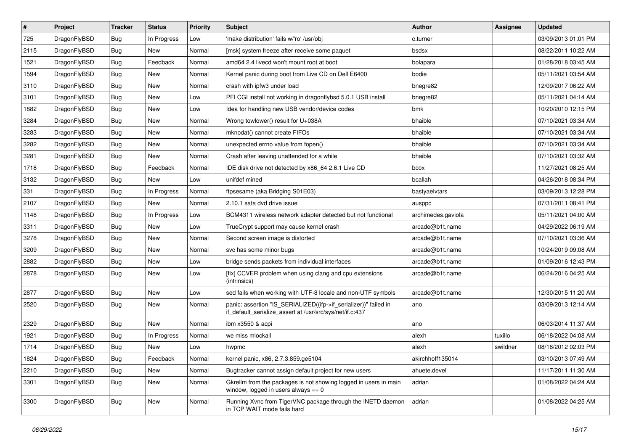| $\vert$ # | Project      | <b>Tracker</b> | <b>Status</b> | <b>Priority</b> | <b>Subject</b>                                                                                                               | Author             | Assignee | <b>Updated</b>      |
|-----------|--------------|----------------|---------------|-----------------|------------------------------------------------------------------------------------------------------------------------------|--------------------|----------|---------------------|
| 725       | DragonFlyBSD | Bug            | In Progress   | Low             | 'make distribution' fails w/'ro' /usr/obj                                                                                    | c.turner           |          | 03/09/2013 01:01 PM |
| 2115      | DragonFlyBSD | <b>Bug</b>     | <b>New</b>    | Normal          | [msk] system freeze after receive some paquet                                                                                | bsdsx              |          | 08/22/2011 10:22 AM |
| 1521      | DragonFlyBSD | <b>Bug</b>     | Feedback      | Normal          | amd64 2.4 livecd won't mount root at boot                                                                                    | bolapara           |          | 01/28/2018 03:45 AM |
| 1594      | DragonFlyBSD | Bug            | <b>New</b>    | Normal          | Kernel panic during boot from Live CD on Dell E6400                                                                          | bodie              |          | 05/11/2021 03:54 AM |
| 3110      | DragonFlyBSD | Bug            | <b>New</b>    | Normal          | crash with ipfw3 under load                                                                                                  | bnegre82           |          | 12/09/2017 06:22 AM |
| 3101      | DragonFlyBSD | <b>Bug</b>     | <b>New</b>    | Low             | PFI CGI install not working in dragonflybsd 5.0.1 USB install                                                                | bnegre82           |          | 05/11/2021 04:14 AM |
| 1882      | DragonFlyBSD | <b>Bug</b>     | <b>New</b>    | Low             | Idea for handling new USB vendor/device codes                                                                                | bmk                |          | 10/20/2010 12:15 PM |
| 3284      | DragonFlyBSD | Bug            | <b>New</b>    | Normal          | Wrong towlower() result for U+038A                                                                                           | bhaible            |          | 07/10/2021 03:34 AM |
| 3283      | DragonFlyBSD | Bug            | <b>New</b>    | Normal          | mknodat() cannot create FIFOs                                                                                                | bhaible            |          | 07/10/2021 03:34 AM |
| 3282      | DragonFlyBSD | <b>Bug</b>     | <b>New</b>    | Normal          | unexpected errno value from fopen()                                                                                          | bhaible            |          | 07/10/2021 03:34 AM |
| 3281      | DragonFlyBSD | <b>Bug</b>     | New           | Normal          | Crash after leaving unattended for a while                                                                                   | bhaible            |          | 07/10/2021 03:32 AM |
| 1718      | DragonFlyBSD | Bug            | Feedback      | Normal          | IDE disk drive not detected by x86_64 2.6.1 Live CD                                                                          | bcox               |          | 11/27/2021 08:25 AM |
| 3132      | DragonFlyBSD | Bug            | New           | Low             | unifdef mined                                                                                                                | bcallah            |          | 04/26/2018 08:34 PM |
| 331       | DragonFlyBSD | <b>Bug</b>     | In Progress   | Normal          | ftpsesame (aka Bridging S01E03)                                                                                              | bastyaelvtars      |          | 03/09/2013 12:28 PM |
| 2107      | DragonFlyBSD | <b>Bug</b>     | New           | Normal          | 2.10.1 sata dvd drive issue                                                                                                  | ausppc             |          | 07/31/2011 08:41 PM |
| 1148      | DragonFlyBSD | Bug            | In Progress   | Low             | BCM4311 wireless network adapter detected but not functional                                                                 | archimedes.gaviola |          | 05/11/2021 04:00 AM |
| 3311      | DragonFlyBSD | Bug            | <b>New</b>    | Low             | TrueCrypt support may cause kernel crash                                                                                     | arcade@b1t.name    |          | 04/29/2022 06:19 AM |
| 3278      | DragonFlyBSD | Bug            | <b>New</b>    | Normal          | Second screen image is distorted                                                                                             | arcade@b1t.name    |          | 07/10/2021 03:36 AM |
| 3209      | DragonFlyBSD | <b>Bug</b>     | <b>New</b>    | Normal          | svc has some minor bugs                                                                                                      | arcade@b1t.name    |          | 10/24/2019 09:08 AM |
| 2882      | DragonFlyBSD | <b>Bug</b>     | <b>New</b>    | Low             | bridge sends packets from individual interfaces                                                                              | arcade@b1t.name    |          | 01/09/2016 12:43 PM |
| 2878      | DragonFlyBSD | Bug            | New           | Low             | [fix] CCVER problem when using clang and cpu extensions<br>(intrinsics)                                                      | arcade@b1t.name    |          | 06/24/2016 04:25 AM |
| 2877      | DragonFlyBSD | Bug            | New           | Low             | sed fails when working with UTF-8 locale and non-UTF symbols                                                                 | arcade@b1t.name    |          | 12/30/2015 11:20 AM |
| 2520      | DragonFlyBSD | Bug            | New           | Normal          | panic: assertion "IS_SERIALIZED((ifp->if_serializer))" failed in<br>if_default_serialize_assert at /usr/src/sys/net/if.c:437 | ano                |          | 03/09/2013 12:14 AM |
| 2329      | DragonFlyBSD | <b>Bug</b>     | <b>New</b>    | Normal          | ibm x3550 & acpi                                                                                                             | ano                |          | 06/03/2014 11:37 AM |
| 1921      | DragonFlyBSD | <b>Bug</b>     | In Progress   | Normal          | we miss mlockall                                                                                                             | alexh              | tuxillo  | 06/18/2022 04:08 AM |
| 1714      | DragonFlyBSD | Bug            | <b>New</b>    | Low             | hwpmc                                                                                                                        | alexh              | swildner | 08/18/2012 02:03 PM |
| 1824      | DragonFlyBSD | <b>Bug</b>     | Feedback      | Normal          | kernel panic, x86, 2.7.3.859.ge5104                                                                                          | akirchhoff135014   |          | 03/10/2013 07:49 AM |
| 2210      | DragonFlyBSD | <b>Bug</b>     | New           | Normal          | Bugtracker cannot assign default project for new users                                                                       | ahuete.devel       |          | 11/17/2011 11:30 AM |
| 3301      | DragonFlyBSD | <b>Bug</b>     | New           | Normal          | Gkrellm from the packages is not showing logged in users in main<br>window, logged in users always $== 0$                    | adrian             |          | 01/08/2022 04:24 AM |
| 3300      | DragonFlyBSD | <b>Bug</b>     | New           | Normal          | Running Xvnc from TigerVNC package through the INETD daemon<br>in TCP WAIT mode fails hard                                   | adrian             |          | 01/08/2022 04:25 AM |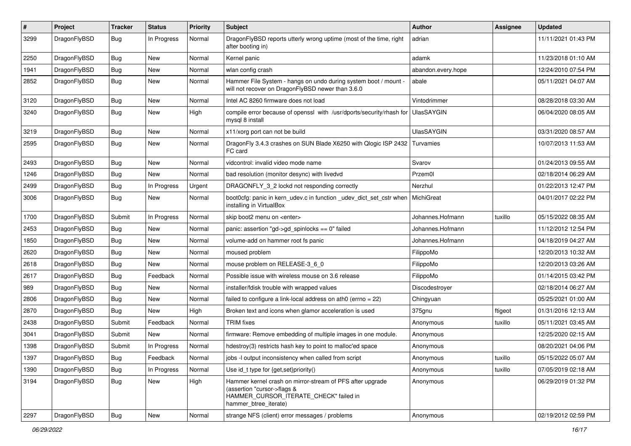| $\pmb{\#}$ | Project      | <b>Tracker</b> | <b>Status</b> | <b>Priority</b> | Subject                                                                                                                                                     | <b>Author</b>      | Assignee | <b>Updated</b>      |
|------------|--------------|----------------|---------------|-----------------|-------------------------------------------------------------------------------------------------------------------------------------------------------------|--------------------|----------|---------------------|
| 3299       | DragonFlyBSD | Bug            | In Progress   | Normal          | DragonFlyBSD reports utterly wrong uptime (most of the time, right<br>after booting in)                                                                     | adrian             |          | 11/11/2021 01:43 PM |
| 2250       | DragonFlyBSD | <b>Bug</b>     | <b>New</b>    | Normal          | Kernel panic                                                                                                                                                | adamk              |          | 11/23/2018 01:10 AM |
| 1941       | DragonFlyBSD | Bug            | New           | Normal          | wlan config crash                                                                                                                                           | abandon.every.hope |          | 12/24/2010 07:54 PM |
| 2852       | DragonFlyBSD | Bug            | New           | Normal          | Hammer File System - hangs on undo during system boot / mount -<br>will not recover on DragonFlyBSD newer than 3.6.0                                        | abale              |          | 05/11/2021 04:07 AM |
| 3120       | DragonFlyBSD | Bug            | <b>New</b>    | Normal          | Intel AC 8260 firmware does not load                                                                                                                        | Vintodrimmer       |          | 08/28/2018 03:30 AM |
| 3240       | DragonFlyBSD | Bug            | New           | High            | compile error because of openssl with /usr/dports/security/rhash for<br>mysql 8 install                                                                     | <b>UlasSAYGIN</b>  |          | 06/04/2020 08:05 AM |
| 3219       | DragonFlyBSD | Bug            | <b>New</b>    | Normal          | x11/xorg port can not be build                                                                                                                              | <b>UlasSAYGIN</b>  |          | 03/31/2020 08:57 AM |
| 2595       | DragonFlyBSD | Bug            | New           | Normal          | DragonFly 3.4.3 crashes on SUN Blade X6250 with Qlogic ISP 2432<br>FC card                                                                                  | Turvamies          |          | 10/07/2013 11:53 AM |
| 2493       | DragonFlyBSD | Bug            | <b>New</b>    | Normal          | vidcontrol: invalid video mode name                                                                                                                         | Svarov             |          | 01/24/2013 09:55 AM |
| 1246       | DragonFlyBSD | <b>Bug</b>     | New           | Normal          | bad resolution (monitor desync) with livedvd                                                                                                                | Przem0l            |          | 02/18/2014 06:29 AM |
| 2499       | DragonFlyBSD | Bug            | In Progress   | Urgent          | DRAGONFLY_3_2 lockd not responding correctly                                                                                                                | Nerzhul            |          | 01/22/2013 12:47 PM |
| 3006       | DragonFlyBSD | Bug            | New           | Normal          | boot0cfg: panic in kern_udev.c in function _udev_dict_set_cstr when   MichiGreat<br>installing in VirtualBox                                                |                    |          | 04/01/2017 02:22 PM |
| 1700       | DragonFlyBSD | Submit         | In Progress   | Normal          | skip boot2 menu on <enter></enter>                                                                                                                          | Johannes.Hofmann   | tuxillo  | 05/15/2022 08:35 AM |
| 2453       | DragonFlyBSD | Bug            | <b>New</b>    | Normal          | panic: assertion "gd->gd_spinlocks == 0" failed                                                                                                             | Johannes.Hofmann   |          | 11/12/2012 12:54 PM |
| 1850       | DragonFlyBSD | Bug            | New           | Normal          | volume-add on hammer root fs panic                                                                                                                          | Johannes.Hofmann   |          | 04/18/2019 04:27 AM |
| 2620       | DragonFlyBSD | <b>Bug</b>     | <b>New</b>    | Normal          | moused problem                                                                                                                                              | FilippoMo          |          | 12/20/2013 10:32 AM |
| 2618       | DragonFlyBSD | Bug            | New           | Normal          | mouse problem on RELEASE-3_6_0                                                                                                                              | FilippoMo          |          | 12/20/2013 03:26 AM |
| 2617       | DragonFlyBSD | Bug            | Feedback      | Normal          | Possible issue with wireless mouse on 3.6 release                                                                                                           | FilippoMo          |          | 01/14/2015 03:42 PM |
| 989        | DragonFlyBSD | Bug            | New           | Normal          | installer/fdisk trouble with wrapped values                                                                                                                 | Discodestroyer     |          | 02/18/2014 06:27 AM |
| 2806       | DragonFlyBSD | Bug            | <b>New</b>    | Normal          | failed to configure a link-local address on ath $0$ (errno = 22)                                                                                            | Chingyuan          |          | 05/25/2021 01:00 AM |
| 2870       | DragonFlyBSD | Bug            | New           | High            | Broken text and icons when glamor acceleration is used                                                                                                      | 375gnu             | ftigeot  | 01/31/2016 12:13 AM |
| 2438       | DragonFlyBSD | Submit         | Feedback      | Normal          | <b>TRIM</b> fixes                                                                                                                                           | Anonymous          | tuxillo  | 05/11/2021 03:45 AM |
| 3041       | DragonFlyBSD | Submit         | New           | Normal          | firmware: Remove embedding of multiple images in one module.                                                                                                | Anonymous          |          | 12/25/2020 02:15 AM |
| 1398       | DragonFlyBSD | Submit         | In Progress   | Normal          | hdestroy(3) restricts hash key to point to malloc'ed space                                                                                                  | Anonymous          |          | 08/20/2021 04:06 PM |
| 1397       | DragonFlyBSD | <b>Bug</b>     | Feedback      | Normal          | jobs -I output inconsistency when called from script                                                                                                        | Anonymous          | tuxillo  | 05/15/2022 05:07 AM |
| 1390       | DragonFlyBSD | <b>Bug</b>     | In Progress   | Normal          | Use id t type for $\{get, set\}$ priority $()$                                                                                                              | Anonymous          | tuxillo  | 07/05/2019 02:18 AM |
| 3194       | DragonFlyBSD | Bug            | New           | High            | Hammer kernel crash on mirror-stream of PFS after upgrade<br>(assertion "cursor->flags &<br>HAMMER_CURSOR_ITERATE_CHECK" failed in<br>hammer_btree_iterate) | Anonymous          |          | 06/29/2019 01:32 PM |
| 2297       | DragonFlyBSD | <b>Bug</b>     | New           | Normal          | strange NFS (client) error messages / problems                                                                                                              | Anonymous          |          | 02/19/2012 02:59 PM |